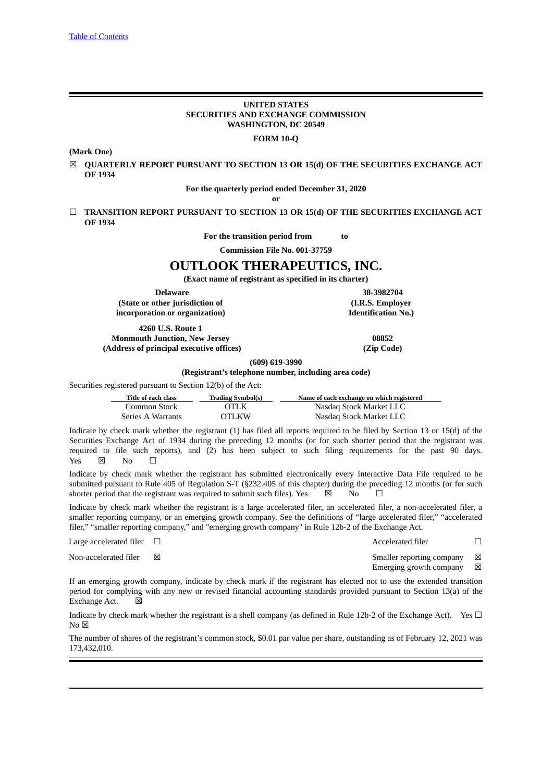# **UNITED STATES SECURITIES AND EXCHANGE COMMISSION WASHINGTON, DC 20549**

### **FORM 10-Q**

**(Mark One)**

☒ **QUARTERLY REPORT PURSUANT TO SECTION 13 OR 15(d) OF THE SECURITIES EXCHANGE ACT OF 1934**

**For the quarterly period ended December 31, 2020**

**or**

☐ **TRANSITION REPORT PURSUANT TO SECTION 13 OR 15(d) OF THE SECURITIES EXCHANGE ACT OF 1934**

**For the transition period from to**

**Commission File No. 001-37759**

# **OUTLOOK THERAPEUTICS, INC.**

**(Exact name of registrant as specified in its charter)**

**Delaware 38-3982704 (State or other jurisdiction of incorporation or organization)**

**4260 U.S. Route 1 Monmouth Junction, New Jersey 08852 (Address of principal executive offices) (Zip Code)**

**Identification No.)**

**(I.R.S. Employer**

**(609) 619-3990**

**(Registrant's telephone number, including area code)**

Securities registered pursuant to Section 12(b) of the Act:

| Title of each class | <b>Trading Symbol(s)</b> | Name of each exchange on which registered |
|---------------------|--------------------------|-------------------------------------------|
| Common Stock        | OTLK                     | Nasdag Stock Market LLC                   |
| Series A Warrants   | <b>OTLKW</b>             | Nasdag Stock Market LLC                   |

Indicate by check mark whether the registrant (1) has filed all reports required to be filed by Section 13 or 15(d) of the Securities Exchange Act of 1934 during the preceding 12 months (or for such shorter period that the registrant was required to file such reports), and (2) has been subject to such filing requirements for the past 90 days. Yes  $\boxtimes$  No  $\Box$ 

Indicate by check mark whether the registrant has submitted electronically every Interactive Data File required to be submitted pursuant to Rule 405 of Regulation S-T (§232.405 of this chapter) during the preceding 12 months (or for such shorter period that the registrant was required to submit such files). Yes  $\boxtimes$  No  $\Box$ 

Indicate by check mark whether the registrant is a large accelerated filer, an accelerated filer, a non-accelerated filer, a smaller reporting company, or an emerging growth company. See the definitions of "large accelerated filer," "accelerated filer," "smaller reporting company," and "emerging growth company" in Rule 12b-2 of the Exchange Act.

Large accelerated filer ☐ Accelerated filer ☐

Non-accelerated filer ⊠ 2008 Smaller reporting company  $\boxtimes$ 

Emerging growth company  $\boxtimes$ 

If an emerging growth company, indicate by check mark if the registrant has elected not to use the extended transition period for complying with any new or revised financial accounting standards provided pursuant to Section 13(a) of the Exchange Act.  $\boxtimes$ 

Indicate by check mark whether the registrant is a shell company (as defined in Rule 12b-2 of the Exchange Act). Yes  $\Box$  $No &$ 

The number of shares of the registrant's common stock, \$0.01 par value per share, outstanding as of February 12, 2021 was 173,432,010.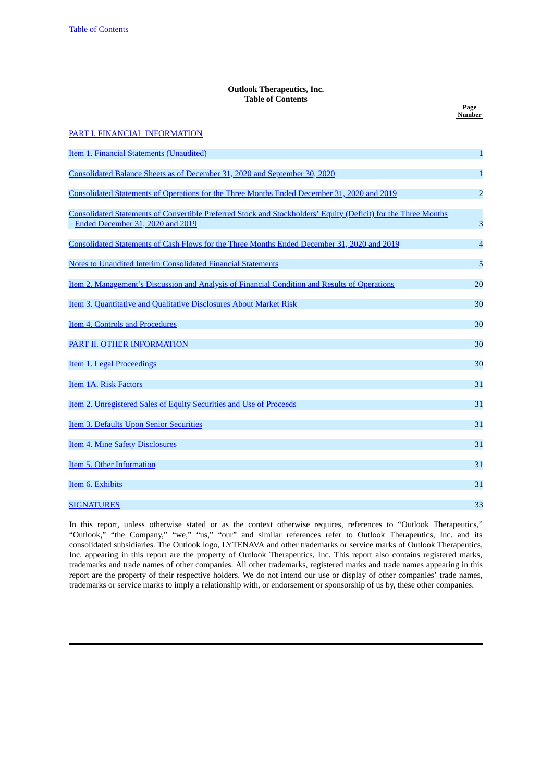# **Outlook Therapeutics, Inc. Table of Contents**

<span id="page-1-0"></span>

| PART I. FINANCIAL INFORMATION                                                                                                                             |                          |
|-----------------------------------------------------------------------------------------------------------------------------------------------------------|--------------------------|
| <b>Item 1. Financial Statements (Unaudited)</b>                                                                                                           | $\mathbf{1}$             |
| Consolidated Balance Sheets as of December 31, 2020 and September 30, 2020                                                                                | $\mathbf{1}$             |
| Consolidated Statements of Operations for the Three Months Ended December 31, 2020 and 2019                                                               | $\overline{2}$           |
| Consolidated Statements of Convertible Preferred Stock and Stockholders' Equity (Deficit) for the Three Months<br><b>Ended December 31, 2020 and 2019</b> | 3                        |
| Consolidated Statements of Cash Flows for the Three Months Ended December 31, 2020 and 2019                                                               | $\overline{\mathcal{A}}$ |
| <b>Notes to Unaudited Interim Consolidated Financial Statements</b>                                                                                       | 5                        |
| Item 2. Management's Discussion and Analysis of Financial Condition and Results of Operations                                                             | 20                       |
| Item 3. Quantitative and Qualitative Disclosures About Market Risk                                                                                        | 30                       |
| Item 4. Controls and Procedures                                                                                                                           | 30                       |
| PART II. OTHER INFORMATION                                                                                                                                | 30                       |
| Item 1. Legal Proceedings                                                                                                                                 | 30                       |
| <b>Item 1A. Risk Factors</b>                                                                                                                              | 31                       |
| Item 2. Unregistered Sales of Equity Securities and Use of Proceeds                                                                                       | 31                       |
| <b>Item 3. Defaults Upon Senior Securities</b>                                                                                                            | 31                       |
| <b>Item 4. Mine Safety Disclosures</b>                                                                                                                    | 31                       |
| Item 5. Other Information                                                                                                                                 | 31                       |
| Item 6. Exhibits                                                                                                                                          | 31                       |
| <b>SIGNATURES</b>                                                                                                                                         | 33                       |

In this report, unless otherwise stated or as the context otherwise requires, references to "Outlook Therapeutics," "Outlook," "the Company," "we," "us," "our" and similar references refer to Outlook Therapeutics, Inc. and its consolidated subsidiaries. The Outlook logo, LYTENAVA and other trademarks or service marks of Outlook Therapeutics, Inc. appearing in this report are the property of Outlook Therapeutics, Inc. This report also contains registered marks, trademarks and trade names of other companies. All other trademarks, registered marks and trade names appearing in this report are the property of their respective holders. We do not intend our use or display of other companies' trade names, trademarks or service marks to imply a relationship with, or endorsement or sponsorship of us by, these other companies.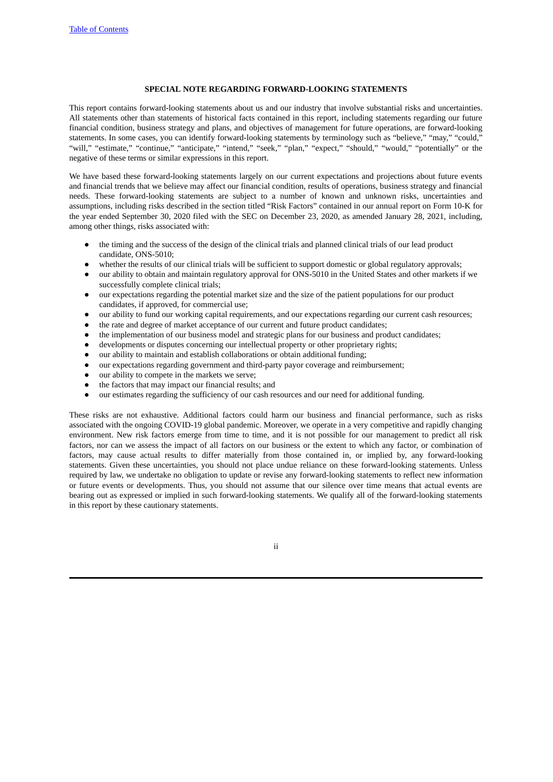### **SPECIAL NOTE REGARDING FORWARD-LOOKING STATEMENTS**

This report contains forward-looking statements about us and our industry that involve substantial risks and uncertainties. All statements other than statements of historical facts contained in this report, including statements regarding our future financial condition, business strategy and plans, and objectives of management for future operations, are forward-looking statements. In some cases, you can identify forward-looking statements by terminology such as "believe," "may," "could," "will," "estimate," "continue," "anticipate," "intend," "seek," "plan," "expect," "should," "would," "potentially" or the negative of these terms or similar expressions in this report.

We have based these forward-looking statements largely on our current expectations and projections about future events and financial trends that we believe may affect our financial condition, results of operations, business strategy and financial needs. These forward-looking statements are subject to a number of known and unknown risks, uncertainties and assumptions, including risks described in the section titled "Risk Factors" contained in our annual report on Form 10-K for the year ended September 30, 2020 filed with the SEC on December 23, 2020, as amended January 28, 2021, including, among other things, risks associated with:

- the timing and the success of the design of the clinical trials and planned clinical trials of our lead product candidate, ONS-5010;
- whether the results of our clinical trials will be sufficient to support domestic or global regulatory approvals;
- our ability to obtain and maintain regulatory approval for ONS-5010 in the United States and other markets if we successfully complete clinical trials;
- our expectations regarding the potential market size and the size of the patient populations for our product candidates, if approved, for commercial use;
- our ability to fund our working capital requirements, and our expectations regarding our current cash resources;
- the rate and degree of market acceptance of our current and future product candidates;
- the implementation of our business model and strategic plans for our business and product candidates;
- developments or disputes concerning our intellectual property or other proprietary rights;
- our ability to maintain and establish collaborations or obtain additional funding;
- our expectations regarding government and third-party payor coverage and reimbursement;
- our ability to compete in the markets we serve;
- the factors that may impact our financial results; and
- our estimates regarding the sufficiency of our cash resources and our need for additional funding.

These risks are not exhaustive. Additional factors could harm our business and financial performance, such as risks associated with the ongoing COVID-19 global pandemic. Moreover, we operate in a very competitive and rapidly changing environment. New risk factors emerge from time to time, and it is not possible for our management to predict all risk factors, nor can we assess the impact of all factors on our business or the extent to which any factor, or combination of factors, may cause actual results to differ materially from those contained in, or implied by, any forward-looking statements. Given these uncertainties, you should not place undue reliance on these forward-looking statements. Unless required by law, we undertake no obligation to update or revise any forward-looking statements to reflect new information or future events or developments. Thus, you should not assume that our silence over time means that actual events are bearing out as expressed or implied in such forward-looking statements. We qualify all of the forward-looking statements in this report by these cautionary statements.

ii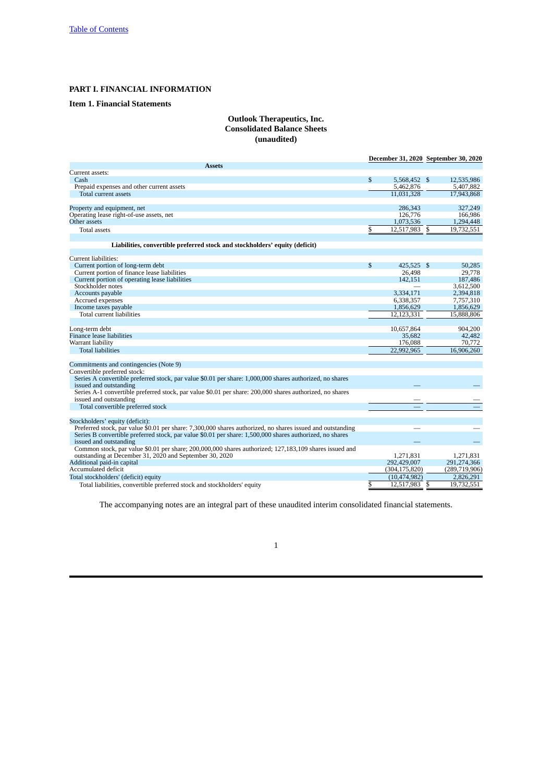# <span id="page-3-0"></span>**PART I. FINANCIAL INFORMATION**

# <span id="page-3-1"></span>**Item 1. Financial Statements**

# <span id="page-3-2"></span>**Outlook Therapeutics, Inc. Consolidated Balance Sheets (unaudited)**

|                                                                                                            |              |                 | December 31, 2020 September 30, 2020 |
|------------------------------------------------------------------------------------------------------------|--------------|-----------------|--------------------------------------|
| <b>Assets</b>                                                                                              |              |                 |                                      |
| Current assets:                                                                                            |              |                 |                                      |
| Cash                                                                                                       | \$           | 5,568,452 \$    | 12,535,986                           |
| Prepaid expenses and other current assets                                                                  |              | 5,462,876       | 5,407,882                            |
| Total current assets                                                                                       |              | 11,031,328      | 17,943,868                           |
|                                                                                                            |              |                 |                                      |
| Property and equipment, net                                                                                |              | 286,343         | 327,249                              |
| Operating lease right-of-use assets, net                                                                   |              | 126,776         | 166,986                              |
| Other assets                                                                                               |              | 1,073,536       | 1,294,448                            |
| <b>Total assets</b>                                                                                        | \$           | $12,517,983$ \$ | 19,732,551                           |
|                                                                                                            |              |                 |                                      |
| Liabilities, convertible preferred stock and stockholders' equity (deficit)                                |              |                 |                                      |
|                                                                                                            |              |                 |                                      |
| Current liabilities:                                                                                       |              |                 |                                      |
| Current portion of long-term debt                                                                          | $\mathbb{S}$ | 425.525 \$      | 50.285                               |
| Current portion of finance lease liabilities                                                               |              | 26.498          | 29,778                               |
| Current portion of operating lease liabilities                                                             |              | 142.151         | 187,486                              |
| Stockholder notes                                                                                          |              |                 | 3,612,500                            |
| Accounts payable                                                                                           |              | 3,334,171       | 2,394,818                            |
| Accrued expenses                                                                                           |              | 6,338,357       | 7,757,310                            |
| Income taxes payable                                                                                       |              | 1,856,629       | 1,856,629                            |
| Total current liabilities                                                                                  |              | 12,123,331      | 15,888,806                           |
|                                                                                                            |              |                 |                                      |
| Long-term debt                                                                                             |              | 10,657,864      | 904,200                              |
| <b>Finance lease liabilities</b>                                                                           |              | 35,682          | 42,482                               |
| Warrant liability                                                                                          |              | 176,088         | 70,772                               |
| <b>Total liabilities</b>                                                                                   |              | 22.992.965      | 16.906.260                           |
|                                                                                                            |              |                 |                                      |
| Commitments and contingencies (Note 9)                                                                     |              |                 |                                      |
| Convertible preferred stock:                                                                               |              |                 |                                      |
| Series A convertible preferred stock, par value \$0.01 per share: 1,000,000 shares authorized, no shares   |              |                 |                                      |
| issued and outstanding                                                                                     |              |                 |                                      |
| Series A-1 convertible preferred stock, par value \$0.01 per share: 200,000 shares authorized, no shares   |              |                 |                                      |
| issued and outstanding                                                                                     |              |                 |                                      |
| Total convertible preferred stock                                                                          |              |                 |                                      |
|                                                                                                            |              |                 |                                      |
| Stockholders' equity (deficit):                                                                            |              |                 |                                      |
| Preferred stock, par value \$0.01 per share: 7,300,000 shares authorized, no shares issued and outstanding |              |                 |                                      |
| Series B convertible preferred stock, par value \$0.01 per share: 1,500,000 shares authorized, no shares   |              |                 |                                      |
| issued and outstanding                                                                                     |              |                 |                                      |
| Common stock, par value \$0.01 per share; 200,000,000 shares authorized; 127,183,109 shares issued and     |              |                 |                                      |
| outstanding at December 31, 2020 and September 30, 2020                                                    |              | 1,271,831       | 1,271,831                            |
| Additional paid-in capital                                                                                 |              | 292,429,007     | 291,274,366                          |
| Accumulated deficit                                                                                        |              | (304, 175, 820) | (289, 719, 906)                      |
| Total stockholders' (deficit) equity                                                                       |              | (10, 474, 982)  | 2,826,291                            |
| Total liabilities, convertible preferred stock and stockholders' equity                                    | \$           | $12,517,983$ \$ | 19.732.551                           |
|                                                                                                            |              |                 |                                      |

The accompanying notes are an integral part of these unaudited interim consolidated financial statements.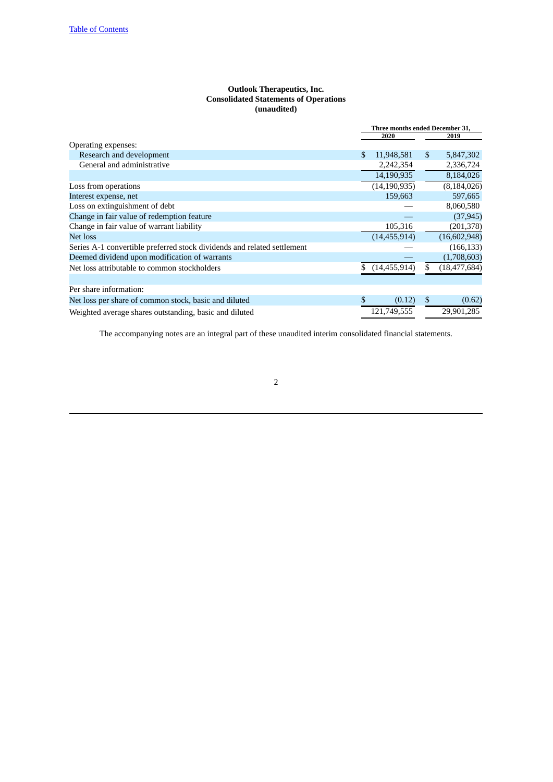### <span id="page-4-0"></span>**Outlook Therapeutics, Inc. Consolidated Statements of Operations (unaudited)**

|                                                                         | Three months ended December 31, |                |    |                |
|-------------------------------------------------------------------------|---------------------------------|----------------|----|----------------|
|                                                                         |                                 | 2020           |    | 2019           |
| Operating expenses:                                                     |                                 |                |    |                |
| Research and development                                                | \$.                             | 11,948,581     | S. | 5,847,302      |
| General and administrative                                              |                                 | 2,242,354      |    | 2,336,724      |
|                                                                         |                                 | 14,190,935     |    | 8,184,026      |
| Loss from operations                                                    |                                 | (14, 190, 935) |    | (8, 184, 026)  |
| Interest expense, net                                                   |                                 | 159,663        |    | 597,665        |
| Loss on extinguishment of debt                                          |                                 |                |    | 8,060,580      |
| Change in fair value of redemption feature                              |                                 |                |    | (37, 945)      |
| Change in fair value of warrant liability                               |                                 | 105,316        |    | (201, 378)     |
| <b>Net loss</b>                                                         |                                 | (14, 455, 914) |    | (16,602,948)   |
| Series A-1 convertible preferred stock dividends and related settlement |                                 |                |    | (166, 133)     |
| Deemed dividend upon modification of warrants                           |                                 |                |    | (1,708,603)    |
| Net loss attributable to common stockholders                            |                                 | (14, 455, 914) | \$ | (18, 477, 684) |
|                                                                         |                                 |                |    |                |
| Per share information:                                                  |                                 |                |    |                |
| Net loss per share of common stock, basic and diluted                   |                                 | (0.12)         | \$ | (0.62)         |
| Weighted average shares outstanding, basic and diluted                  |                                 | 121,749,555    |    | 29,901,285     |
|                                                                         |                                 |                |    |                |

The accompanying notes are an integral part of these unaudited interim consolidated financial statements.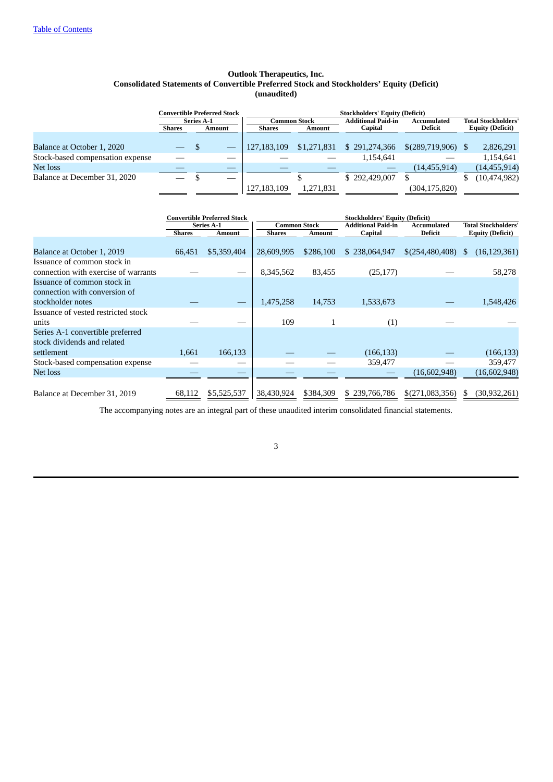## <span id="page-5-0"></span>**Outlook Therapeutics, Inc. Consolidated Statements of Convertible Preferred Stock and Stockholders' Equity (Deficit) (unaudited)**

|                                  |                          |                   | Convertible Preferred Stock | <b>Stockholders' Equity (Deficit)</b> |                      |                           |                 |   |                            |
|----------------------------------|--------------------------|-------------------|-----------------------------|---------------------------------------|----------------------|---------------------------|-----------------|---|----------------------------|
|                                  |                          | <b>Series A-1</b> |                             |                                       | C <b>ommon Stock</b> | <b>Additional Paid-in</b> | Accumulated     |   | <b>Total Stockholders'</b> |
|                                  | <b>Shares</b>            |                   | Amount                      | Shares                                | Amount               | Capital                   | Deficit         |   | <b>Equity (Deficit)</b>    |
| Balance at October 1, 2020       | $\overline{\phantom{0}}$ |                   | –                           | 127, 183, 109                         | \$1,271,831          | \$291,274,366             | \$(289,719,906) |   | 2,826,291                  |
| Stock-based compensation expense |                          |                   |                             |                                       |                      | 1,154,641                 |                 |   | 1,154,641                  |
| Net loss                         |                          |                   |                             |                                       |                      |                           | (14, 455, 914)  |   | (14, 455, 914)             |
| Balance at December 31, 2020     |                          |                   |                             |                                       |                      | \$292,429,007             |                 | S | (10, 474, 982)             |
|                                  |                          |                   |                             | 127,183,109                           | 1,271,831            |                           | (304, 175, 820) |   |                            |

|                                      |               | <b>Convertible Preferred Stock</b> | <b>Stockholders' Equity (Deficit)</b> |           |                    |                 |   |                           |
|--------------------------------------|---------------|------------------------------------|---------------------------------------|-----------|--------------------|-----------------|---|---------------------------|
|                                      |               | Series A-1                         | <b>Common Stock</b>                   |           | Additional Paid-in | Accumulated     |   | <b>Total Stockholders</b> |
|                                      | <b>Shares</b> | <b>Amount</b>                      | <b>Shares</b>                         | Amount    | Capital            | <b>Deficit</b>  |   | <b>Equity (Deficit)</b>   |
|                                      |               |                                    |                                       |           |                    |                 |   |                           |
| Balance at October 1, 2019           | 66,451        | \$5,359,404                        | 28,609,995                            | \$286,100 | \$238,064,947      | \$(254,480,408) | S | (16, 129, 361)            |
| Issuance of common stock in          |               |                                    |                                       |           |                    |                 |   |                           |
| connection with exercise of warrants |               |                                    | 8,345,562                             | 83,455    | (25, 177)          |                 |   | 58,278                    |
| Issuance of common stock in          |               |                                    |                                       |           |                    |                 |   |                           |
| connection with conversion of        |               |                                    |                                       |           |                    |                 |   |                           |
| stockholder notes                    |               |                                    | 1,475,258                             | 14,753    | 1,533,673          |                 |   | 1,548,426                 |
| Issuance of vested restricted stock  |               |                                    |                                       |           |                    |                 |   |                           |
| units                                |               |                                    | 109                                   |           | (1)                |                 |   |                           |
| Series A-1 convertible preferred     |               |                                    |                                       |           |                    |                 |   |                           |
| stock dividends and related          |               |                                    |                                       |           |                    |                 |   |                           |
| settlement                           | 1,661         | 166,133                            |                                       |           | (166, 133)         |                 |   | (166, 133)                |
| Stock-based compensation expense     |               |                                    |                                       |           | 359,477            |                 |   | 359,477                   |
| Net loss                             |               |                                    |                                       |           |                    | (16,602,948)    |   | (16,602,948)              |
|                                      |               |                                    |                                       |           |                    |                 |   |                           |
| Balance at December 31, 2019         | 68,112        | \$5,525,537                        | 38,430,924                            | \$384,309 | \$239,766,786      | \$(271,083,356) | S | (30,932,261)              |

The accompanying notes are an integral part of these unaudited interim consolidated financial statements.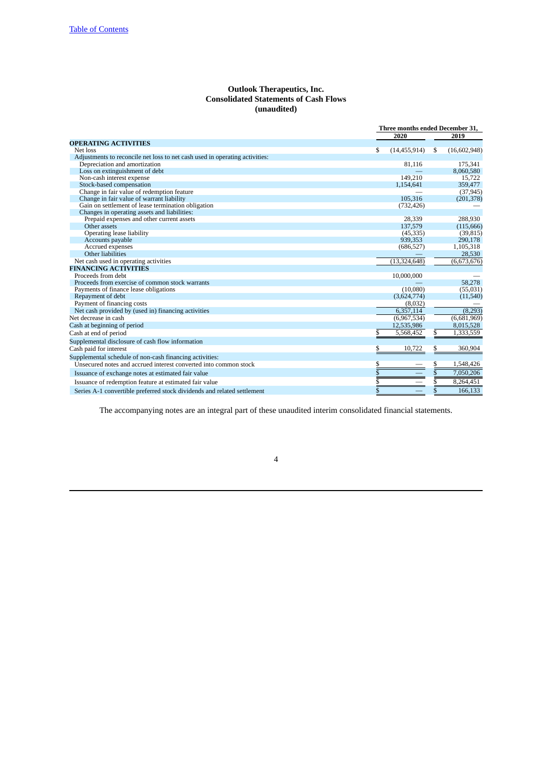### <span id="page-6-0"></span>**Outlook Therapeutics, Inc. Consolidated Statements of Cash Flows (unaudited)**

|                                                                             | Three months ended December 31, |    |              |  |
|-----------------------------------------------------------------------------|---------------------------------|----|--------------|--|
|                                                                             | 2020                            |    | 2019         |  |
| <b>OPERATING ACTIVITIES</b>                                                 |                                 |    |              |  |
| Net loss                                                                    | \$<br>(14, 455, 914)            | S  | (16,602,948) |  |
| Adjustments to reconcile net loss to net cash used in operating activities: |                                 |    |              |  |
| Depreciation and amortization                                               | 81,116                          |    | 175,341      |  |
| Loss on extinguishment of debt                                              |                                 |    | 8,060,580    |  |
| Non-cash interest expense                                                   | 149,210                         |    | 15,722       |  |
| Stock-based compensation                                                    | 1,154,641                       |    | 359,477      |  |
| Change in fair value of redemption feature                                  |                                 |    | (37, 945)    |  |
| Change in fair value of warrant liability                                   | 105,316                         |    | (201, 378)   |  |
| Gain on settlement of lease termination obligation                          | (732, 426)                      |    |              |  |
| Changes in operating assets and liabilities:                                |                                 |    |              |  |
| Prepaid expenses and other current assets                                   | 28,339                          |    | 288,930      |  |
| Other assets                                                                | 137,579                         |    | (115, 666)   |  |
| Operating lease liability                                                   | (45, 335)                       |    | (39, 815)    |  |
| Accounts payable                                                            | 939,353                         |    | 290,178      |  |
| Accrued expenses                                                            | (686, 527)                      |    | 1,105,318    |  |
| Other liabilities                                                           |                                 |    | 28,530       |  |
| Net cash used in operating activities                                       | (13, 324, 648)                  |    | (6,673,676)  |  |
| <b>FINANCING ACTIVITIES</b>                                                 |                                 |    |              |  |
| Proceeds from debt                                                          | 10,000,000                      |    |              |  |
| Proceeds from exercise of common stock warrants                             |                                 |    | 58,278       |  |
| Payments of finance lease obligations                                       | (10,080)                        |    | (55,031)     |  |
| Repayment of debt                                                           | (3,624,774)                     |    | (11,540)     |  |
| Payment of financing costs                                                  | (8,032)                         |    |              |  |
| Net cash provided by (used in) financing activities                         | 6,357,114                       |    | (8,293)      |  |
| Net decrease in cash                                                        | (6,967,534)                     |    | (6,681,969)  |  |
| Cash at beginning of period                                                 | 12,535,986                      |    | 8,015,528    |  |
| Cash at end of period                                                       | \$<br>5,568,452                 | \$ | 1,333,559    |  |
| Supplemental disclosure of cash flow information                            |                                 |    |              |  |
| Cash paid for interest                                                      | \$<br>10,722                    | \$ | 360,904      |  |
| Supplemental schedule of non-cash financing activities:                     |                                 |    |              |  |
| Unsecured notes and accrued interest converted into common stock            | \$                              | \$ | 1,548,426    |  |
| Issuance of exchange notes at estimated fair value                          | \$                              | \$ | 7,050,206    |  |
| Issuance of redemption feature at estimated fair value                      |                                 |    | 8,264,451    |  |
| Series A-1 convertible preferred stock dividends and related settlement     |                                 |    | 166,133      |  |

The accompanying notes are an integral part of these unaudited interim consolidated financial statements.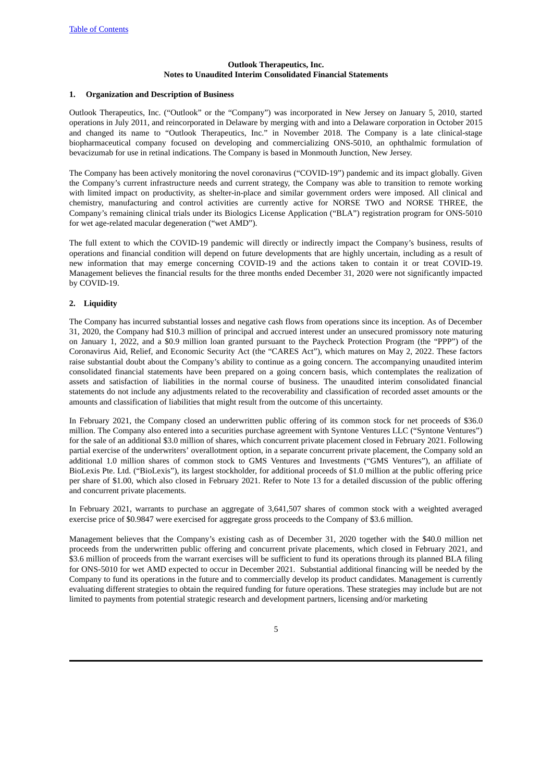### <span id="page-7-0"></span>**1. Organization and Description of Business**

Outlook Therapeutics, Inc. ("Outlook" or the "Company") was incorporated in New Jersey on January 5, 2010, started operations in July 2011, and reincorporated in Delaware by merging with and into a Delaware corporation in October 2015 and changed its name to "Outlook Therapeutics, Inc." in November 2018. The Company is a late clinical-stage biopharmaceutical company focused on developing and commercializing ONS-5010, an ophthalmic formulation of bevacizumab for use in retinal indications. The Company is based in Monmouth Junction, New Jersey.

The Company has been actively monitoring the novel coronavirus ("COVID-19") pandemic and its impact globally. Given the Company's current infrastructure needs and current strategy, the Company was able to transition to remote working with limited impact on productivity, as shelter-in-place and similar government orders were imposed. All clinical and chemistry, manufacturing and control activities are currently active for NORSE TWO and NORSE THREE, the Company's remaining clinical trials under its Biologics License Application ("BLA") registration program for ONS-5010 for wet age-related macular degeneration ("wet AMD").

The full extent to which the COVID-19 pandemic will directly or indirectly impact the Company's business, results of operations and financial condition will depend on future developments that are highly uncertain, including as a result of new information that may emerge concerning COVID-19 and the actions taken to contain it or treat COVID-19. Management believes the financial results for the three months ended December 31, 2020 were not significantly impacted by COVID-19.

### **2. Liquidity**

The Company has incurred substantial losses and negative cash flows from operations since its inception. As of December 31, 2020, the Company had \$10.3 million of principal and accrued interest under an unsecured promissory note maturing on January 1, 2022, and a \$0.9 million loan granted pursuant to the Paycheck Protection Program (the "PPP") of the Coronavirus Aid, Relief, and Economic Security Act (the "CARES Act"), which matures on May 2, 2022. These factors raise substantial doubt about the Company's ability to continue as a going concern. The accompanying unaudited interim consolidated financial statements have been prepared on a going concern basis, which contemplates the realization of assets and satisfaction of liabilities in the normal course of business. The unaudited interim consolidated financial statements do not include any adjustments related to the recoverability and classification of recorded asset amounts or the amounts and classification of liabilities that might result from the outcome of this uncertainty.

In February 2021, the Company closed an underwritten public offering of its common stock for net proceeds of \$36.0 million. The Company also entered into a securities purchase agreement with Syntone Ventures LLC ("Syntone Ventures") for the sale of an additional \$3.0 million of shares, which concurrent private placement closed in February 2021. Following partial exercise of the underwriters' overallotment option, in a separate concurrent private placement, the Company sold an additional 1.0 million shares of common stock to GMS Ventures and Investments ("GMS Ventures"), an affiliate of BioLexis Pte. Ltd. ("BioLexis"), its largest stockholder, for additional proceeds of \$1.0 million at the public offering price per share of \$1.00, which also closed in February 2021. Refer to Note 13 for a detailed discussion of the public offering and concurrent private placements.

In February 2021, warrants to purchase an aggregate of 3,641,507 shares of common stock with a weighted averaged exercise price of \$0.9847 were exercised for aggregate gross proceeds to the Company of \$3.6 million.

Management believes that the Company's existing cash as of December 31, 2020 together with the \$40.0 million net proceeds from the underwritten public offering and concurrent private placements, which closed in February 2021, and \$3.6 million of proceeds from the warrant exercises will be sufficient to fund its operations through its planned BLA filing for ONS-5010 for wet AMD expected to occur in December 2021. Substantial additional financing will be needed by the Company to fund its operations in the future and to commercially develop its product candidates. Management is currently evaluating different strategies to obtain the required funding for future operations. These strategies may include but are not limited to payments from potential strategic research and development partners, licensing and/or marketing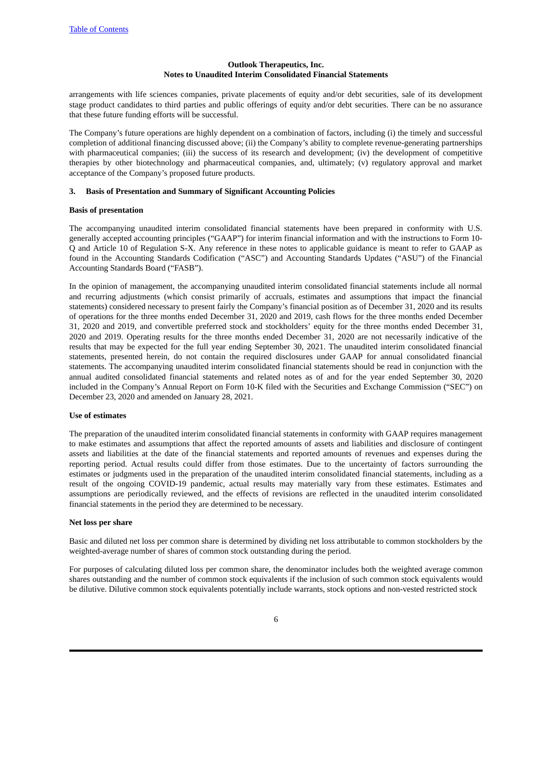arrangements with life sciences companies, private placements of equity and/or debt securities, sale of its development stage product candidates to third parties and public offerings of equity and/or debt securities. There can be no assurance that these future funding efforts will be successful.

The Company's future operations are highly dependent on a combination of factors, including (i) the timely and successful completion of additional financing discussed above; (ii) the Company's ability to complete revenue-generating partnerships with pharmaceutical companies; (iii) the success of its research and development; (iv) the development of competitive therapies by other biotechnology and pharmaceutical companies, and, ultimately; (v) regulatory approval and market acceptance of the Company's proposed future products.

#### **3. Basis of Presentation and Summary of Significant Accounting Policies**

#### **Basis of presentation**

The accompanying unaudited interim consolidated financial statements have been prepared in conformity with U.S. generally accepted accounting principles ("GAAP") for interim financial information and with the instructions to Form 10- Q and Article 10 of Regulation S-X. Any reference in these notes to applicable guidance is meant to refer to GAAP as found in the Accounting Standards Codification ("ASC") and Accounting Standards Updates ("ASU") of the Financial Accounting Standards Board ("FASB").

In the opinion of management, the accompanying unaudited interim consolidated financial statements include all normal and recurring adjustments (which consist primarily of accruals, estimates and assumptions that impact the financial statements) considered necessary to present fairly the Company's financial position as of December 31, 2020 and its results of operations for the three months ended December 31, 2020 and 2019, cash flows for the three months ended December 31, 2020 and 2019, and convertible preferred stock and stockholders' equity for the three months ended December 31, 2020 and 2019. Operating results for the three months ended December 31, 2020 are not necessarily indicative of the results that may be expected for the full year ending September 30, 2021. The unaudited interim consolidated financial statements, presented herein, do not contain the required disclosures under GAAP for annual consolidated financial statements. The accompanying unaudited interim consolidated financial statements should be read in conjunction with the annual audited consolidated financial statements and related notes as of and for the year ended September 30, 2020 included in the Company's Annual Report on Form 10-K filed with the Securities and Exchange Commission ("SEC") on December 23, 2020 and amended on January 28, 2021.

#### **Use of estimates**

The preparation of the unaudited interim consolidated financial statements in conformity with GAAP requires management to make estimates and assumptions that affect the reported amounts of assets and liabilities and disclosure of contingent assets and liabilities at the date of the financial statements and reported amounts of revenues and expenses during the reporting period. Actual results could differ from those estimates. Due to the uncertainty of factors surrounding the estimates or judgments used in the preparation of the unaudited interim consolidated financial statements, including as a result of the ongoing COVID-19 pandemic, actual results may materially vary from these estimates. Estimates and assumptions are periodically reviewed, and the effects of revisions are reflected in the unaudited interim consolidated financial statements in the period they are determined to be necessary.

#### **Net loss per share**

Basic and diluted net loss per common share is determined by dividing net loss attributable to common stockholders by the weighted-average number of shares of common stock outstanding during the period.

For purposes of calculating diluted loss per common share, the denominator includes both the weighted average common shares outstanding and the number of common stock equivalents if the inclusion of such common stock equivalents would be dilutive. Dilutive common stock equivalents potentially include warrants, stock options and non-vested restricted stock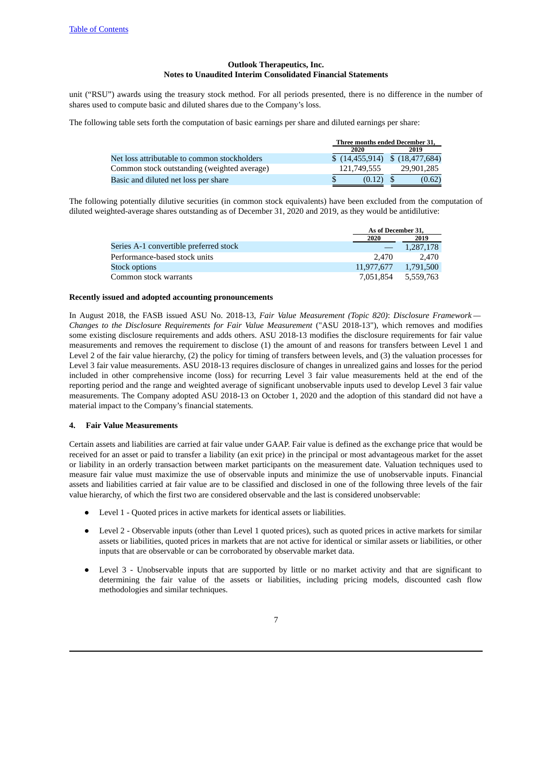unit ("RSU") awards using the treasury stock method. For all periods presented, there is no difference in the number of shares used to compute basic and diluted shares due to the Company's loss.

The following table sets forth the computation of basic earnings per share and diluted earnings per share:

|                                              | Three months ended December 31, |                                |
|----------------------------------------------|---------------------------------|--------------------------------|
|                                              | 2020                            | 2019                           |
| Net loss attributable to common stockholders |                                 | $$(14,455,914) \$(18,477,684)$ |
| Common stock outstanding (weighted average)  | 121.749.555                     | 29.901.285                     |
| Basic and diluted net loss per share         | (0.12)                          | (0.62)                         |

The following potentially dilutive securities (in common stock equivalents) have been excluded from the computation of diluted weighted-average shares outstanding as of December 31, 2020 and 2019, as they would be antidilutive:

|                                        | As of December 31, |           |
|----------------------------------------|--------------------|-----------|
|                                        | 2020               | 2019      |
| Series A-1 convertible preferred stock |                    | 1,287,178 |
| Performance-based stock units          | 2.470              | 2.470     |
| Stock options                          | 11,977,677         | 1.791.500 |
| Common stock warrants                  | 7.051.854          | 5,559,763 |

#### **Recently issued and adopted accounting pronouncements**

In August 2018, the FASB issued ASU No. 2018-13, *Fair Value Measurement (Topic 820)*: *Disclosure Framework — Changes to the Disclosure Requirements for Fair Value Measurement* ("ASU 2018-13"), which removes and modifies some existing disclosure requirements and adds others. ASU 2018-13 modifies the disclosure requirements for fair value measurements and removes the requirement to disclose (1) the amount of and reasons for transfers between Level 1 and Level 2 of the fair value hierarchy, (2) the policy for timing of transfers between levels, and (3) the valuation processes for Level 3 fair value measurements. ASU 2018-13 requires disclosure of changes in unrealized gains and losses for the period included in other comprehensive income (loss) for recurring Level 3 fair value measurements held at the end of the reporting period and the range and weighted average of significant unobservable inputs used to develop Level 3 fair value measurements. The Company adopted ASU 2018-13 on October 1, 2020 and the adoption of this standard did not have a material impact to the Company's financial statements.

### **4. Fair Value Measurements**

Certain assets and liabilities are carried at fair value under GAAP. Fair value is defined as the exchange price that would be received for an asset or paid to transfer a liability (an exit price) in the principal or most advantageous market for the asset or liability in an orderly transaction between market participants on the measurement date. Valuation techniques used to measure fair value must maximize the use of observable inputs and minimize the use of unobservable inputs. Financial assets and liabilities carried at fair value are to be classified and disclosed in one of the following three levels of the fair value hierarchy, of which the first two are considered observable and the last is considered unobservable:

- Level 1 Quoted prices in active markets for identical assets or liabilities.
- Level 2 Observable inputs (other than Level 1 quoted prices), such as quoted prices in active markets for similar assets or liabilities, quoted prices in markets that are not active for identical or similar assets or liabilities, or other inputs that are observable or can be corroborated by observable market data.
- Level 3 Unobservable inputs that are supported by little or no market activity and that are significant to determining the fair value of the assets or liabilities, including pricing models, discounted cash flow methodologies and similar techniques.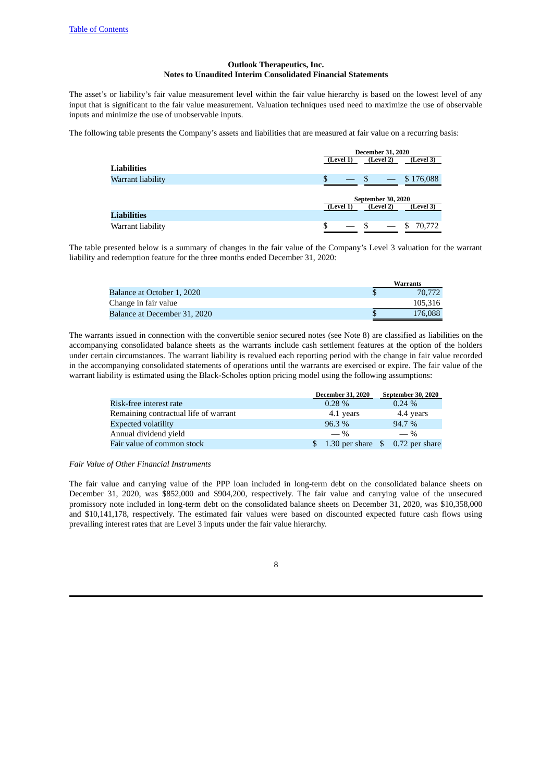The asset's or liability's fair value measurement level within the fair value hierarchy is based on the lowest level of any input that is significant to the fair value measurement. Valuation techniques used need to maximize the use of observable inputs and minimize the use of unobservable inputs.

The following table presents the Company's assets and liabilities that are measured at fair value on a recurring basis:

|                    | <b>December 31, 2020</b> |  |                    |  |    |                |
|--------------------|--------------------------|--|--------------------|--|----|----------------|
|                    | (Level 1)                |  | (Level 2)          |  |    | (Level 3)      |
| <b>Liabilities</b> |                          |  |                    |  |    |                |
| Warrant liability  | S                        |  |                    |  |    | $-$ \$ 176,088 |
|                    |                          |  |                    |  |    |                |
|                    |                          |  | September 30, 2020 |  |    |                |
|                    | (Level 1)                |  | (Level 2)          |  |    | (Level 3)      |
| Liabilities        |                          |  |                    |  |    |                |
| Warrant liability  | \$                       |  | -\$                |  | \$ | 70,772         |

The table presented below is a summary of changes in the fair value of the Company's Level 3 valuation for the warrant liability and redemption feature for the three months ended December 31, 2020:

|                              | <b>Warrants</b> |
|------------------------------|-----------------|
| Balance at October 1, 2020   | 70.772          |
| Change in fair value         | 105.316         |
| Balance at December 31, 2020 | 176,088         |

The warrants issued in connection with the convertible senior secured notes (see Note 8) are classified as liabilities on the accompanying consolidated balance sheets as the warrants include cash settlement features at the option of the holders under certain circumstances. The warrant liability is revalued each reporting period with the change in fair value recorded in the accompanying consolidated statements of operations until the warrants are exercised or expire. The fair value of the warrant liability is estimated using the Black-Scholes option pricing model using the following assumptions:

|                                       |    | <b>December 31, 2020</b> | September 30, 2020                |
|---------------------------------------|----|--------------------------|-----------------------------------|
| Risk-free interest rate               |    | $0.28 \%$                | 0.24%                             |
| Remaining contractual life of warrant |    | 4.1 years                | 4.4 years                         |
| <b>Expected volatility</b>            |    | 96.3%                    | $94.7\%$                          |
| Annual dividend yield                 |    | $-$ %                    | $-$ %                             |
| Fair value of common stock            | S. |                          | 1.30 per share $$ 0.72$ per share |

*Fair Value of Other Financial Instruments*

The fair value and carrying value of the PPP loan included in long-term debt on the consolidated balance sheets on December 31, 2020, was \$852,000 and \$904,200, respectively. The fair value and carrying value of the unsecured promissory note included in long-term debt on the consolidated balance sheets on December 31, 2020, was \$10,358,000 and \$10,141,178, respectively. The estimated fair values were based on discounted expected future cash flows using prevailing interest rates that are Level 3 inputs under the fair value hierarchy.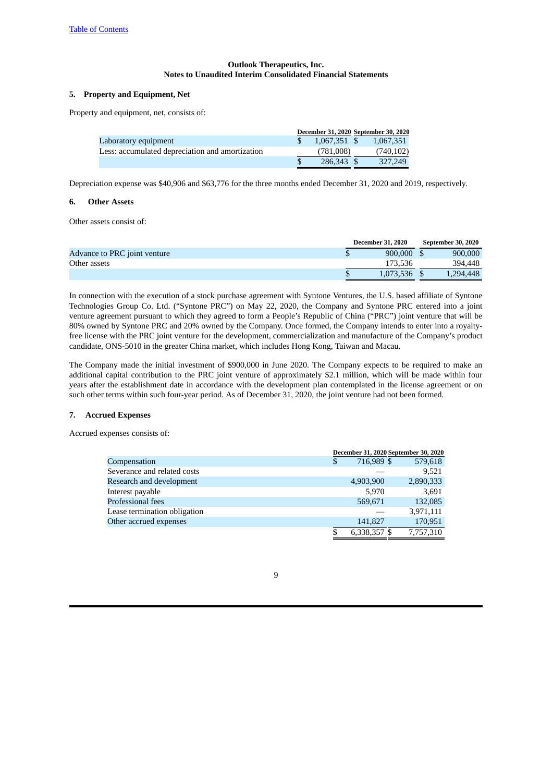### **5. Property and Equipment, Net**

Property and equipment, net, consists of:

|                                                 |              | December 31, 2020 September 30, 2020 |
|-------------------------------------------------|--------------|--------------------------------------|
| Laboratory equipment                            | 1.067.351 \$ | 1.067.351                            |
| Less: accumulated depreciation and amortization | (781.008)    | (740, 102)                           |
|                                                 | 286,343 \$   | 327.249                              |

Depreciation expense was \$40,906 and \$63,776 for the three months ended December 31, 2020 and 2019, respectively.

#### **6. Other Assets**

Other assets consist of:

|                              | <b>December 31, 2020</b> | September 30, 2020 |
|------------------------------|--------------------------|--------------------|
| Advance to PRC joint venture | $900,000$ \$             | 900,000            |
| Other assets                 | 173.536                  | 394,448            |
|                              | 1.073.536 \$             | 1.294.448          |

In connection with the execution of a stock purchase agreement with Syntone Ventures, the U.S. based affiliate of Syntone Technologies Group Co. Ltd. ("Syntone PRC") on May 22, 2020, the Company and Syntone PRC entered into a joint venture agreement pursuant to which they agreed to form a People's Republic of China ("PRC") joint venture that will be 80% owned by Syntone PRC and 20% owned by the Company. Once formed, the Company intends to enter into a royaltyfree license with the PRC joint venture for the development, commercialization and manufacture of the Company's product candidate, ONS-5010 in the greater China market, which includes Hong Kong, Taiwan and Macau.

The Company made the initial investment of \$900,000 in June 2020. The Company expects to be required to make an additional capital contribution to the PRC joint venture of approximately \$2.1 million, which will be made within four years after the establishment date in accordance with the development plan contemplated in the license agreement or on such other terms within such four-year period. As of December 31, 2020, the joint venture had not been formed.

### **7. Accrued Expenses**

Accrued expenses consists of:

|                              | December 31, 2020 September 30, 2020 |           |
|------------------------------|--------------------------------------|-----------|
| Compensation                 | \$<br>716,989 \$                     | 579,618   |
| Severance and related costs  |                                      | 9,521     |
| Research and development     | 4,903,900                            | 2,890,333 |
| Interest payable             | 5.970                                | 3,691     |
| Professional fees            | 569,671                              | 132,085   |
| Lease termination obligation |                                      | 3,971,111 |
| Other accrued expenses       | 141,827                              | 170,951   |
|                              | \$<br>6,338,357 \$                   | 7,757,310 |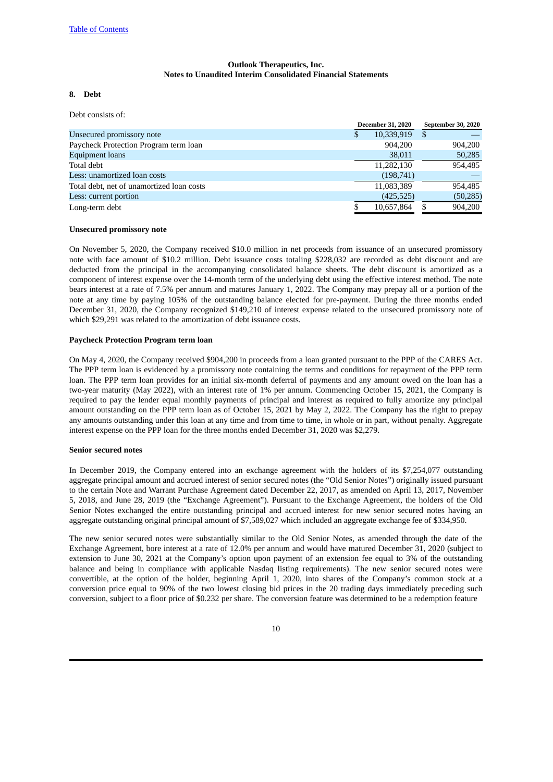### **8. Debt**

Debt consists of:

|                                           | <b>December 31, 2020</b> | September 30, 2020 |           |  |
|-------------------------------------------|--------------------------|--------------------|-----------|--|
| Unsecured promissory note                 | \$<br>10,339,919         | - \$               |           |  |
| Paycheck Protection Program term loan     | 904,200                  |                    | 904,200   |  |
| <b>Equipment loans</b>                    | 38,011                   |                    | 50,285    |  |
| Total debt                                | 11,282,130               |                    | 954,485   |  |
| Less: unamortized loan costs              | (198, 741)               |                    |           |  |
| Total debt, net of unamortized loan costs | 11,083,389               |                    | 954,485   |  |
| Less: current portion                     | (425, 525)               |                    | (50, 285) |  |
| Long-term debt                            | 10,657,864               | S                  | 904,200   |  |

### **Unsecured promissory note**

On November 5, 2020, the Company received \$10.0 million in net proceeds from issuance of an unsecured promissory note with face amount of \$10.2 million. Debt issuance costs totaling \$228,032 are recorded as debt discount and are deducted from the principal in the accompanying consolidated balance sheets. The debt discount is amortized as a component of interest expense over the 14-month term of the underlying debt using the effective interest method. The note bears interest at a rate of 7.5% per annum and matures January 1, 2022. The Company may prepay all or a portion of the note at any time by paying 105% of the outstanding balance elected for pre-payment. During the three months ended December 31, 2020, the Company recognized \$149,210 of interest expense related to the unsecured promissory note of which \$29,291 was related to the amortization of debt issuance costs.

### **Paycheck Protection Program term loan**

On May 4, 2020, the Company received \$904,200 in proceeds from a loan granted pursuant to the PPP of the CARES Act. The PPP term loan is evidenced by a promissory note containing the terms and conditions for repayment of the PPP term loan. The PPP term loan provides for an initial six-month deferral of payments and any amount owed on the loan has a two-year maturity (May 2022), with an interest rate of 1% per annum. Commencing October 15, 2021, the Company is required to pay the lender equal monthly payments of principal and interest as required to fully amortize any principal amount outstanding on the PPP term loan as of October 15, 2021 by May 2, 2022. The Company has the right to prepay any amounts outstanding under this loan at any time and from time to time, in whole or in part, without penalty. Aggregate interest expense on the PPP loan for the three months ended December 31, 2020 was \$2,279.

#### **Senior secured notes**

In December 2019, the Company entered into an exchange agreement with the holders of its \$7,254,077 outstanding aggregate principal amount and accrued interest of senior secured notes (the "Old Senior Notes") originally issued pursuant to the certain Note and Warrant Purchase Agreement dated December 22, 2017, as amended on April 13, 2017, November 5, 2018, and June 28, 2019 (the "Exchange Agreement"). Pursuant to the Exchange Agreement, the holders of the Old Senior Notes exchanged the entire outstanding principal and accrued interest for new senior secured notes having an aggregate outstanding original principal amount of \$7,589,027 which included an aggregate exchange fee of \$334,950.

The new senior secured notes were substantially similar to the Old Senior Notes, as amended through the date of the Exchange Agreement, bore interest at a rate of 12.0% per annum and would have matured December 31, 2020 (subject to extension to June 30, 2021 at the Company's option upon payment of an extension fee equal to 3% of the outstanding balance and being in compliance with applicable Nasdaq listing requirements). The new senior secured notes were convertible, at the option of the holder, beginning April 1, 2020, into shares of the Company's common stock at a conversion price equal to 90% of the two lowest closing bid prices in the 20 trading days immediately preceding such conversion, subject to a floor price of \$0.232 per share. The conversion feature was determined to be a redemption feature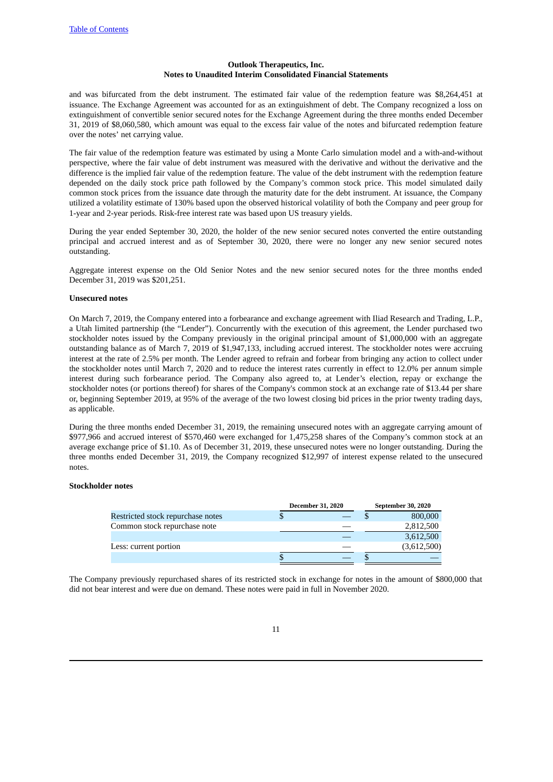and was bifurcated from the debt instrument. The estimated fair value of the redemption feature was \$8,264,451 at issuance. The Exchange Agreement was accounted for as an extinguishment of debt. The Company recognized a loss on extinguishment of convertible senior secured notes for the Exchange Agreement during the three months ended December 31, 2019 of \$8,060,580, which amount was equal to the excess fair value of the notes and bifurcated redemption feature over the notes' net carrying value.

The fair value of the redemption feature was estimated by using a Monte Carlo simulation model and a with-and-without perspective, where the fair value of debt instrument was measured with the derivative and without the derivative and the difference is the implied fair value of the redemption feature. The value of the debt instrument with the redemption feature depended on the daily stock price path followed by the Company's common stock price. This model simulated daily common stock prices from the issuance date through the maturity date for the debt instrument. At issuance, the Company utilized a volatility estimate of 130% based upon the observed historical volatility of both the Company and peer group for 1-year and 2-year periods. Risk-free interest rate was based upon US treasury yields.

During the year ended September 30, 2020, the holder of the new senior secured notes converted the entire outstanding principal and accrued interest and as of September 30, 2020, there were no longer any new senior secured notes outstanding.

Aggregate interest expense on the Old Senior Notes and the new senior secured notes for the three months ended December 31, 2019 was \$201,251.

#### **Unsecured notes**

On March 7, 2019, the Company entered into a forbearance and exchange agreement with Iliad Research and Trading, L.P., a Utah limited partnership (the "Lender"). Concurrently with the execution of this agreement, the Lender purchased two stockholder notes issued by the Company previously in the original principal amount of \$1,000,000 with an aggregate outstanding balance as of March 7, 2019 of \$1,947,133, including accrued interest. The stockholder notes were accruing interest at the rate of 2.5% per month. The Lender agreed to refrain and forbear from bringing any action to collect under the stockholder notes until March 7, 2020 and to reduce the interest rates currently in effect to 12.0% per annum simple interest during such forbearance period. The Company also agreed to, at Lender's election, repay or exchange the stockholder notes (or portions thereof) for shares of the Company's common stock at an exchange rate of \$13.44 per share or, beginning September 2019, at 95% of the average of the two lowest closing bid prices in the prior twenty trading days, as applicable.

During the three months ended December 31, 2019, the remaining unsecured notes with an aggregate carrying amount of \$977,966 and accrued interest of \$570,460 were exchanged for 1,475,258 shares of the Company's common stock at an average exchange price of \$1.10. As of December 31, 2019, these unsecured notes were no longer outstanding. During the three months ended December 31, 2019, the Company recognized \$12,997 of interest expense related to the unsecured notes.

# **Stockholder notes**

|                                   | <b>December 31, 2020</b> | September 30, 2020 |
|-----------------------------------|--------------------------|--------------------|
| Restricted stock repurchase notes |                          | 800,000            |
| Common stock repurchase note      |                          | 2,812,500          |
|                                   |                          | 3.612.500          |
| Less: current portion             |                          | (3,612,500)        |
|                                   |                          |                    |

The Company previously repurchased shares of its restricted stock in exchange for notes in the amount of \$800,000 that did not bear interest and were due on demand. These notes were paid in full in November 2020.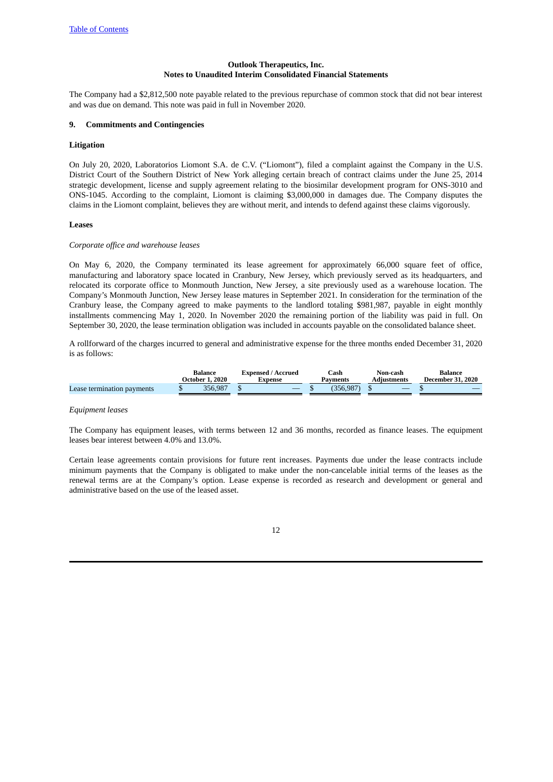The Company had a \$2,812,500 note payable related to the previous repurchase of common stock that did not bear interest and was due on demand. This note was paid in full in November 2020.

#### **9. Commitments and Contingencies**

#### **Litigation**

On July 20, 2020, Laboratorios Liomont S.A. de C.V. ("Liomont"), filed a complaint against the Company in the U.S. District Court of the Southern District of New York alleging certain breach of contract claims under the June 25, 2014 strategic development, license and supply agreement relating to the biosimilar development program for ONS-3010 and ONS-1045. According to the complaint, Liomont is claiming \$3,000,000 in damages due. The Company disputes the claims in the Liomont complaint, believes they are without merit, and intends to defend against these claims vigorously.

#### **Leases**

# *Corporate office and warehouse leases*

On May 6, 2020, the Company terminated its lease agreement for approximately 66,000 square feet of office, manufacturing and laboratory space located in Cranbury, New Jersey, which previously served as its headquarters, and relocated its corporate office to Monmouth Junction, New Jersey, a site previously used as a warehouse location. The Company's Monmouth Junction, New Jersey lease matures in September 2021. In consideration for the termination of the Cranbury lease, the Company agreed to make payments to the landlord totaling \$981,987, payable in eight monthly installments commencing May 1, 2020. In November 2020 the remaining portion of the liability was paid in full. On September 30, 2020, the lease termination obligation was included in accounts payable on the consolidated balance sheet.

A rollforward of the charges incurred to general and administrative expense for the three months ended December 31, 2020 is as follows:

|                            | Balance<br>October 1. 2020 | <b>Expensed / Accrued</b><br>Expense | Cash<br>Payments | Non-cash<br><b>Adiustments</b> | <b>Balance</b><br><b>December 31, 2020</b> |
|----------------------------|----------------------------|--------------------------------------|------------------|--------------------------------|--------------------------------------------|
| Lease termination payments | 356.987                    |                                      | (356.987)        |                                |                                            |

#### *Equipment leases*

The Company has equipment leases, with terms between 12 and 36 months, recorded as finance leases. The equipment leases bear interest between 4.0% and 13.0%.

Certain lease agreements contain provisions for future rent increases. Payments due under the lease contracts include minimum payments that the Company is obligated to make under the non-cancelable initial terms of the leases as the renewal terms are at the Company's option. Lease expense is recorded as research and development or general and administrative based on the use of the leased asset.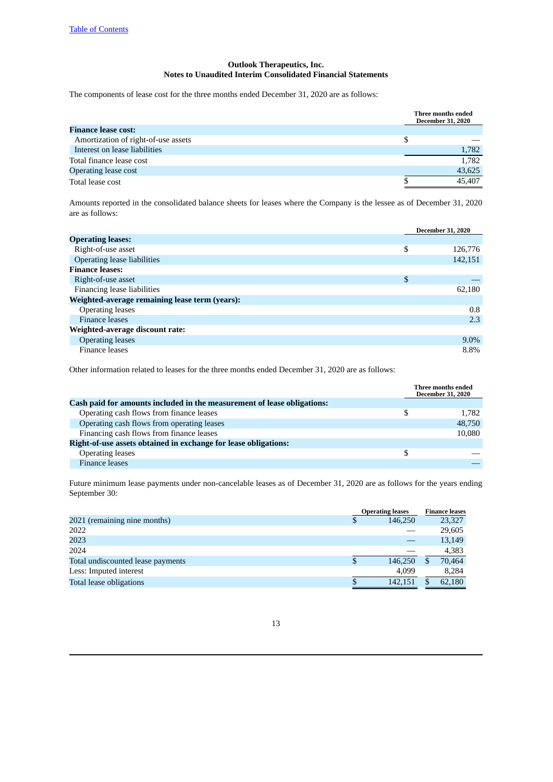The components of lease cost for the three months ended December 31, 2020 are as follows:

|                                     | Three months ended<br><b>December 31, 2020</b> |
|-------------------------------------|------------------------------------------------|
| <b>Finance lease cost:</b>          |                                                |
| Amortization of right-of-use assets |                                                |
| Interest on lease liabilities       | 1,782                                          |
| Total finance lease cost            | 1,782                                          |
| <b>Operating lease cost</b>         | 43,625                                         |
| Total lease cost                    | 45.407                                         |

Amounts reported in the consolidated balance sheets for leases where the Company is the lessee as of December 31, 2020 are as follows:

|                                                | <b>December 31, 2020</b> |
|------------------------------------------------|--------------------------|
| <b>Operating leases:</b>                       |                          |
| Right-of-use asset                             | \$<br>126,776            |
| <b>Operating lease liabilities</b>             | 142,151                  |
| <b>Finance leases:</b>                         |                          |
| Right-of-use asset                             | \$                       |
| Financing lease liabilities                    | 62,180                   |
| Weighted-average remaining lease term (years): |                          |
| <b>Operating leases</b>                        | 0.8                      |
| <b>Finance leases</b>                          | 2.3                      |
| Weighted-average discount rate:                |                          |
| <b>Operating leases</b>                        | $9.0\%$                  |
| Finance leases                                 | 8.8%                     |

Other information related to leases for the three months ended December 31, 2020 are as follows:

|                                                                         | Three months ended<br><b>December 31, 2020</b> |
|-------------------------------------------------------------------------|------------------------------------------------|
| Cash paid for amounts included in the measurement of lease obligations: |                                                |
| Operating cash flows from finance leases                                | 1.782                                          |
| Operating cash flows from operating leases                              | 48,750                                         |
| Financing cash flows from finance leases                                | 10,080                                         |
| Right-of-use assets obtained in exchange for lease obligations:         |                                                |
| <b>Operating leases</b>                                                 |                                                |
| <b>Finance leases</b>                                                   |                                                |

Future minimum lease payments under non-cancelable leases as of December 31, 2020 are as follows for the years ending September 30:

|                                   |    | <b>Operating leases</b> | <b>Finance leases</b> |
|-----------------------------------|----|-------------------------|-----------------------|
| 2021 (remaining nine months)      | Φ  | 146,250                 | 23,327                |
| 2022                              |    |                         | 29,605                |
| 2023                              |    |                         | 13,149                |
| 2024                              |    |                         | 4,383                 |
| Total undiscounted lease payments | \$ | 146,250                 | 70,464                |
| Less: Imputed interest            |    | 4.099                   | 8,284                 |
| Total lease obligations           |    | 142.151                 | 62,180                |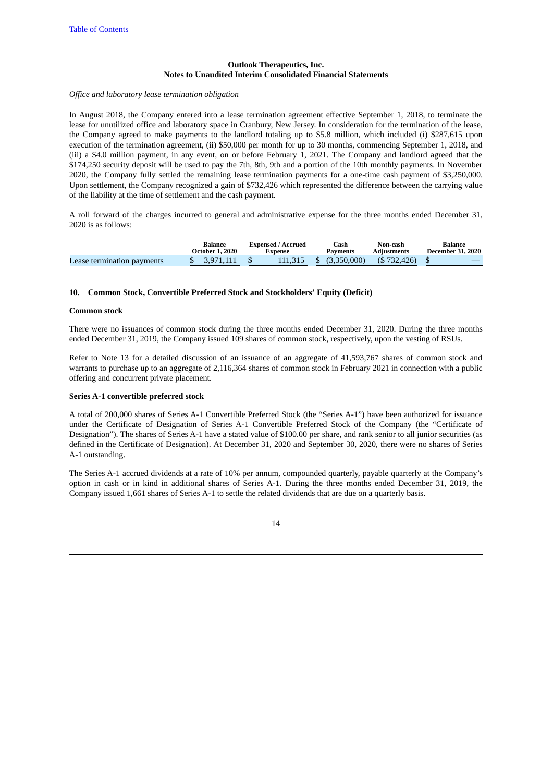*Office and laboratory lease termination obligation*

In August 2018, the Company entered into a lease termination agreement effective September 1, 2018, to terminate the lease for unutilized office and laboratory space in Cranbury, New Jersey. In consideration for the termination of the lease, the Company agreed to make payments to the landlord totaling up to \$5.8 million, which included (i) \$287,615 upon execution of the termination agreement, (ii) \$50,000 per month for up to 30 months, commencing September 1, 2018, and (iii) a \$4.0 million payment, in any event, on or before February 1, 2021. The Company and landlord agreed that the \$174,250 security deposit will be used to pay the 7th, 8th, 9th and a portion of the 10th monthly payments. In November 2020, the Company fully settled the remaining lease termination payments for a one-time cash payment of \$3,250,000. Upon settlement, the Company recognized a gain of \$732,426 which represented the difference between the carrying value of the liability at the time of settlement and the cash payment.

A roll forward of the charges incurred to general and administrative expense for the three months ended December 31, 2020 is as follows:

|                            | Balance                | <b>Expensed / Accrued</b> | Cash        | Non-cash    | Balance                  |
|----------------------------|------------------------|---------------------------|-------------|-------------|--------------------------|
|                            | <b>October 1, 2020</b> | Expense                   | Pavments    | Adiustments | <b>December 31, 2020</b> |
| Lease termination payments | 3,971                  | 111.315                   | (3.350.000) | (S 732.426) |                          |

### **10. Common Stock, Convertible Preferred Stock and Stockholders' Equity (Deficit)**

#### **Common stock**

There were no issuances of common stock during the three months ended December 31, 2020. During the three months ended December 31, 2019, the Company issued 109 shares of common stock, respectively, upon the vesting of RSUs.

Refer to Note 13 for a detailed discussion of an issuance of an aggregate of 41,593,767 shares of common stock and warrants to purchase up to an aggregate of 2,116,364 shares of common stock in February 2021 in connection with a public offering and concurrent private placement.

#### **Series A-1 convertible preferred stock**

A total of 200,000 shares of Series A-1 Convertible Preferred Stock (the "Series A-1") have been authorized for issuance under the Certificate of Designation of Series A-1 Convertible Preferred Stock of the Company (the "Certificate of Designation"). The shares of Series A-1 have a stated value of \$100.00 per share, and rank senior to all junior securities (as defined in the Certificate of Designation). At December 31, 2020 and September 30, 2020, there were no shares of Series A-1 outstanding.

The Series A-1 accrued dividends at a rate of 10% per annum, compounded quarterly, payable quarterly at the Company's option in cash or in kind in additional shares of Series A-1. During the three months ended December 31, 2019, the Company issued 1,661 shares of Series A-1 to settle the related dividends that are due on a quarterly basis.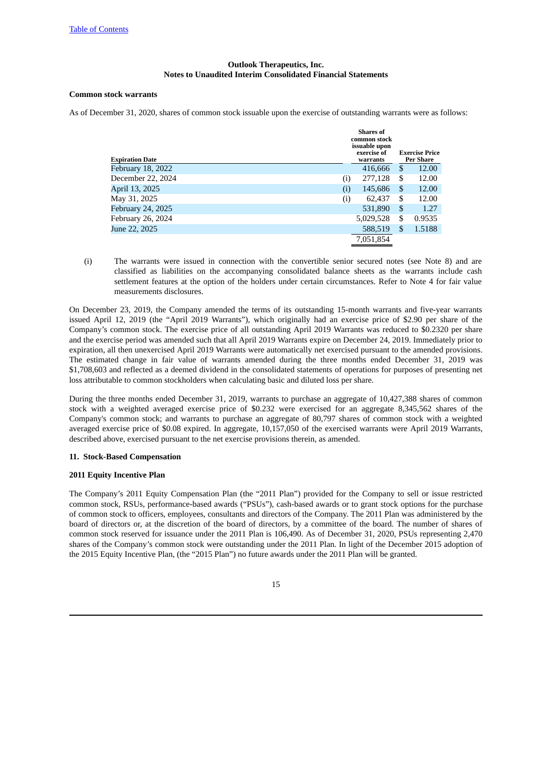#### **Common stock warrants**

As of December 31, 2020, shares of common stock issuable upon the exercise of outstanding warrants were as follows:

| <b>Expiration Date</b> |     | <b>Shares</b> of<br>common stock<br>issuable upon<br>exercise of<br>warrants |     | <b>Exercise Price</b><br><b>Per Share</b> |
|------------------------|-----|------------------------------------------------------------------------------|-----|-------------------------------------------|
| February 18, 2022      |     | 416,666                                                                      | S   | 12.00                                     |
| December 22, 2024      | (i) | 277,128                                                                      | \$  | 12.00                                     |
| April 13, 2025         | (i) | 145,686                                                                      | \$  | 12.00                                     |
| May 31, 2025           | (i) | 62,437                                                                       | \$. | 12.00                                     |
| February 24, 2025      |     | 531,890                                                                      | S   | 1.27                                      |
| February 26, 2024      |     | 5,029,528                                                                    | \$  | 0.9535                                    |
| June 22, 2025          |     | 588,519                                                                      | \$  | 1.5188                                    |
|                        |     | 7,051,854                                                                    |     |                                           |

(i) The warrants were issued in connection with the convertible senior secured notes (see Note 8) and are classified as liabilities on the accompanying consolidated balance sheets as the warrants include cash settlement features at the option of the holders under certain circumstances. Refer to Note 4 for fair value measurements disclosures.

On December 23, 2019, the Company amended the terms of its outstanding 15-month warrants and five-year warrants issued April 12, 2019 (the "April 2019 Warrants"), which originally had an exercise price of \$2.90 per share of the Company's common stock. The exercise price of all outstanding April 2019 Warrants was reduced to \$0.2320 per share and the exercise period was amended such that all April 2019 Warrants expire on December 24, 2019. Immediately prior to expiration, all then unexercised April 2019 Warrants were automatically net exercised pursuant to the amended provisions. The estimated change in fair value of warrants amended during the three months ended December 31, 2019 was \$1,708,603 and reflected as a deemed dividend in the consolidated statements of operations for purposes of presenting net loss attributable to common stockholders when calculating basic and diluted loss per share.

During the three months ended December 31, 2019, warrants to purchase an aggregate of 10,427,388 shares of common stock with a weighted averaged exercise price of \$0.232 were exercised for an aggregate 8,345,562 shares of the Company's common stock; and warrants to purchase an aggregate of 80,797 shares of common stock with a weighted averaged exercise price of \$0.08 expired. In aggregate, 10,157,050 of the exercised warrants were April 2019 Warrants, described above, exercised pursuant to the net exercise provisions therein, as amended.

#### **11. Stock-Based Compensation**

#### **2011 Equity Incentive Plan**

The Company's 2011 Equity Compensation Plan (the "2011 Plan") provided for the Company to sell or issue restricted common stock, RSUs, performance-based awards ("PSUs"), cash-based awards or to grant stock options for the purchase of common stock to officers, employees, consultants and directors of the Company. The 2011 Plan was administered by the board of directors or, at the discretion of the board of directors, by a committee of the board. The number of shares of common stock reserved for issuance under the 2011 Plan is 106,490. As of December 31, 2020, PSUs representing 2,470 shares of the Company's common stock were outstanding under the 2011 Plan. In light of the December 2015 adoption of the 2015 Equity Incentive Plan, (the "2015 Plan") no future awards under the 2011 Plan will be granted.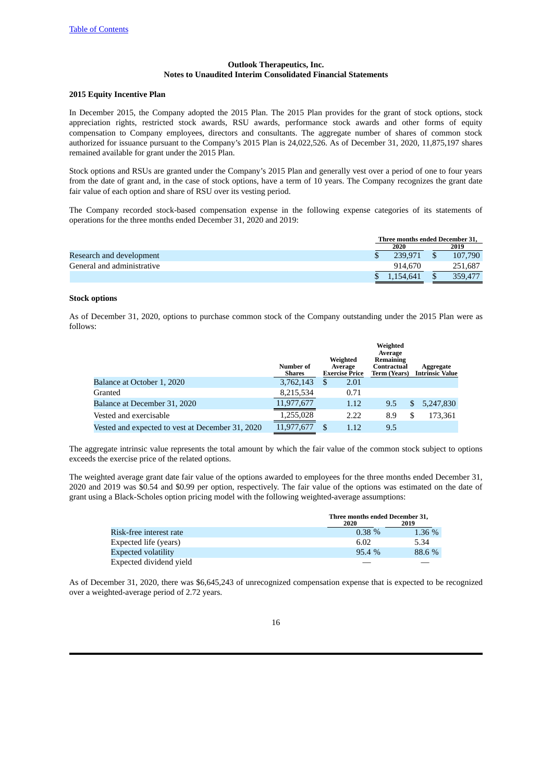### **2015 Equity Incentive Plan**

In December 2015, the Company adopted the 2015 Plan. The 2015 Plan provides for the grant of stock options, stock appreciation rights, restricted stock awards, RSU awards, performance stock awards and other forms of equity compensation to Company employees, directors and consultants. The aggregate number of shares of common stock authorized for issuance pursuant to the Company's 2015 Plan is 24,022,526. As of December 31, 2020, 11,875,197 shares remained available for grant under the 2015 Plan.

Stock options and RSUs are granted under the Company's 2015 Plan and generally vest over a period of one to four years from the date of grant and, in the case of stock options, have a term of 10 years. The Company recognizes the grant date fair value of each option and share of RSU over its vesting period.

The Company recorded stock-based compensation expense in the following expense categories of its statements of operations for the three months ended December 31, 2020 and 2019:

|                            | Three months ended December 31. |  |         |
|----------------------------|---------------------------------|--|---------|
|                            | 2020                            |  | 2019    |
| Research and development   | 239,971                         |  | 107,790 |
| General and administrative | 914.670                         |  | 251,687 |
|                            | 1.154.641                       |  | 359,477 |

### **Stock options**

As of December 31, 2020, options to purchase common stock of the Company outstanding under the 2015 Plan were as follows:

|                                                  | Number of<br><b>Shares</b> | Weighted<br>Average<br><b>Exercise Price</b> | Weighted<br>Average<br>Remaining<br>Contractual<br>Term (Years) | Aggregate<br><b>Intrinsic Value</b> |
|--------------------------------------------------|----------------------------|----------------------------------------------|-----------------------------------------------------------------|-------------------------------------|
| Balance at October 1, 2020                       | 3,762,143                  | 2.01<br>S                                    |                                                                 |                                     |
| Granted                                          | 8,215,534                  | 0.71                                         |                                                                 |                                     |
| Balance at December 31, 2020                     | 11,977,677                 | 1.12                                         | 9.5                                                             | 5,247,830<br>S                      |
| Vested and exercisable                           | 1,255,028                  | 2.22                                         | 8.9                                                             | 173.361                             |
| Vested and expected to vest at December 31, 2020 | 11.977.677                 | 1.12                                         | 9.5                                                             |                                     |

The aggregate intrinsic value represents the total amount by which the fair value of the common stock subject to options exceeds the exercise price of the related options.

The weighted average grant date fair value of the options awarded to employees for the three months ended December 31, 2020 and 2019 was \$0.54 and \$0.99 per option, respectively. The fair value of the options was estimated on the date of grant using a Black-Scholes option pricing model with the following weighted-average assumptions:

|                            | Three months ended December 31,<br>2020 | 2019   |
|----------------------------|-----------------------------------------|--------|
| Risk-free interest rate    | $0.38\%$                                | 1.36 % |
| Expected life (years)      | 6.02                                    | 5.34   |
| <b>Expected volatility</b> | 95.4%                                   | 88.6 % |
| Expected dividend vield    |                                         |        |

As of December 31, 2020, there was \$6,645,243 of unrecognized compensation expense that is expected to be recognized over a weighted-average period of 2.72 years.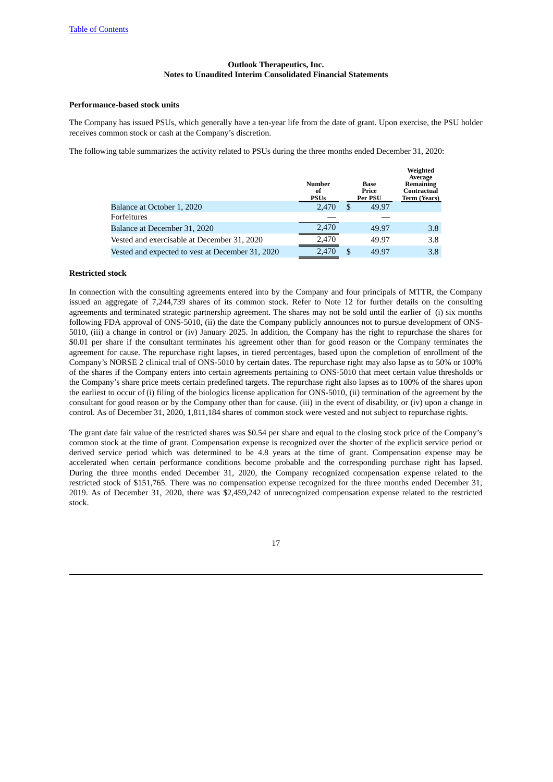#### **Performance-based stock units**

The Company has issued PSUs, which generally have a ten-year life from the date of grant. Upon exercise, the PSU holder receives common stock or cash at the Company's discretion.

The following table summarizes the activity related to PSUs during the three months ended December 31, 2020:

|                                                  | <b>Number</b><br>of<br><b>PSUs</b> |   | Base<br>Price<br>Per PSU | Weighted<br>Average<br>Remaining<br>Contractual<br>Term (Years) |
|--------------------------------------------------|------------------------------------|---|--------------------------|-----------------------------------------------------------------|
| Balance at October 1, 2020                       | 2.470                              | Я | 49.97                    |                                                                 |
| Forfeitures                                      |                                    |   |                          |                                                                 |
| Balance at December 31, 2020                     | 2.470                              |   | 49.97                    | 3.8                                                             |
| Vested and exercisable at December 31, 2020      | 2.470                              |   | 49.97                    | 3.8                                                             |
| Vested and expected to vest at December 31, 2020 | 2,470                              | S | 49.97                    | 3.8                                                             |

#### **Restricted stock**

In connection with the consulting agreements entered into by the Company and four principals of MTTR, the Company issued an aggregate of 7,244,739 shares of its common stock. Refer to Note 12 for further details on the consulting agreements and terminated strategic partnership agreement. The shares may not be sold until the earlier of (i) six months following FDA approval of ONS-5010, (ii) the date the Company publicly announces not to pursue development of ONS-5010, (iii) a change in control or (iv) January 2025. In addition, the Company has the right to repurchase the shares for \$0.01 per share if the consultant terminates his agreement other than for good reason or the Company terminates the agreement for cause. The repurchase right lapses, in tiered percentages, based upon the completion of enrollment of the Company's NORSE 2 clinical trial of ONS-5010 by certain dates. The repurchase right may also lapse as to 50% or 100% of the shares if the Company enters into certain agreements pertaining to ONS-5010 that meet certain value thresholds or the Company's share price meets certain predefined targets. The repurchase right also lapses as to 100% of the shares upon the earliest to occur of (i) filing of the biologics license application for ONS-5010, (ii) termination of the agreement by the consultant for good reason or by the Company other than for cause. (iii) in the event of disability, or (iv) upon a change in control. As of December 31, 2020, 1,811,184 shares of common stock were vested and not subject to repurchase rights.

The grant date fair value of the restricted shares was \$0.54 per share and equal to the closing stock price of the Company's common stock at the time of grant. Compensation expense is recognized over the shorter of the explicit service period or derived service period which was determined to be 4.8 years at the time of grant. Compensation expense may be accelerated when certain performance conditions become probable and the corresponding purchase right has lapsed. During the three months ended December 31, 2020, the Company recognized compensation expense related to the restricted stock of \$151,765. There was no compensation expense recognized for the three months ended December 31, 2019. As of December 31, 2020, there was \$2,459,242 of unrecognized compensation expense related to the restricted stock.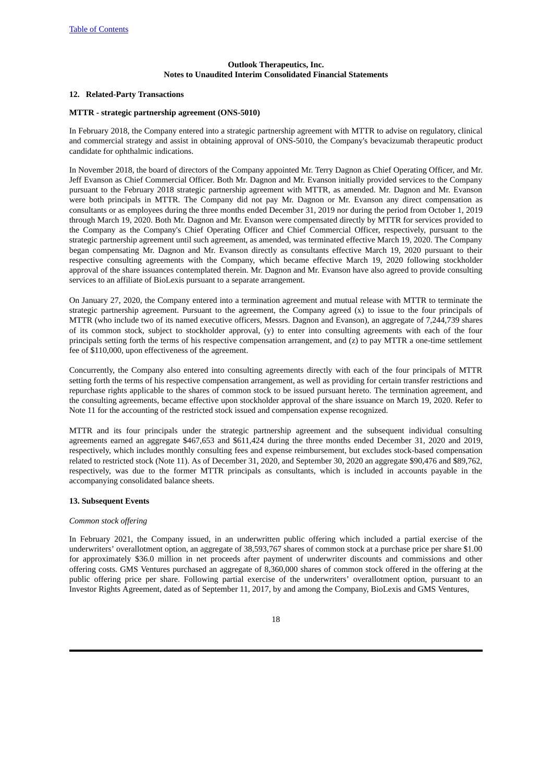#### **12. Related-Party Transactions**

#### **MTTR - strategic partnership agreement (ONS-5010)**

In February 2018, the Company entered into a strategic partnership agreement with MTTR to advise on regulatory, clinical and commercial strategy and assist in obtaining approval of ONS-5010, the Company's bevacizumab therapeutic product candidate for ophthalmic indications.

In November 2018, the board of directors of the Company appointed Mr. Terry Dagnon as Chief Operating Officer, and Mr. Jeff Evanson as Chief Commercial Officer. Both Mr. Dagnon and Mr. Evanson initially provided services to the Company pursuant to the February 2018 strategic partnership agreement with MTTR, as amended. Mr. Dagnon and Mr. Evanson were both principals in MTTR. The Company did not pay Mr. Dagnon or Mr. Evanson any direct compensation as consultants or as employees during the three months ended December 31, 2019 nor during the period from October 1, 2019 through March 19, 2020. Both Mr. Dagnon and Mr. Evanson were compensated directly by MTTR for services provided to the Company as the Company's Chief Operating Officer and Chief Commercial Officer, respectively, pursuant to the strategic partnership agreement until such agreement, as amended, was terminated effective March 19, 2020. The Company began compensating Mr. Dagnon and Mr. Evanson directly as consultants effective March 19, 2020 pursuant to their respective consulting agreements with the Company, which became effective March 19, 2020 following stockholder approval of the share issuances contemplated therein. Mr. Dagnon and Mr. Evanson have also agreed to provide consulting services to an affiliate of BioLexis pursuant to a separate arrangement.

On January 27, 2020, the Company entered into a termination agreement and mutual release with MTTR to terminate the strategic partnership agreement. Pursuant to the agreement, the Company agreed  $(x)$  to issue to the four principals of MTTR (who include two of its named executive officers, Messrs. Dagnon and Evanson), an aggregate of 7,244,739 shares of its common stock, subject to stockholder approval, (y) to enter into consulting agreements with each of the four principals setting forth the terms of his respective compensation arrangement, and (z) to pay MTTR a one-time settlement fee of \$110,000, upon effectiveness of the agreement.

Concurrently, the Company also entered into consulting agreements directly with each of the four principals of MTTR setting forth the terms of his respective compensation arrangement, as well as providing for certain transfer restrictions and repurchase rights applicable to the shares of common stock to be issued pursuant hereto. The termination agreement, and the consulting agreements, became effective upon stockholder approval of the share issuance on March 19, 2020. Refer to Note 11 for the accounting of the restricted stock issued and compensation expense recognized.

MTTR and its four principals under the strategic partnership agreement and the subsequent individual consulting agreements earned an aggregate \$467,653 and \$611,424 during the three months ended December 31, 2020 and 2019, respectively, which includes monthly consulting fees and expense reimbursement, but excludes stock-based compensation related to restricted stock (Note 11). As of December 31, 2020, and September 30, 2020 an aggregate \$90,476 and \$89,762, respectively, was due to the former MTTR principals as consultants, which is included in accounts payable in the accompanying consolidated balance sheets.

#### **13. Subsequent Events**

#### *Common stock offering*

In February 2021, the Company issued, in an underwritten public offering which included a partial exercise of the underwriters' overallotment option, an aggregate of 38,593,767 shares of common stock at a purchase price per share \$1.00 for approximately \$36.0 million in net proceeds after payment of underwriter discounts and commissions and other offering costs. GMS Ventures purchased an aggregate of 8,360,000 shares of common stock offered in the offering at the public offering price per share. Following partial exercise of the underwriters' overallotment option, pursuant to an Investor Rights Agreement, dated as of September 11, 2017, by and among the Company, BioLexis and GMS Ventures,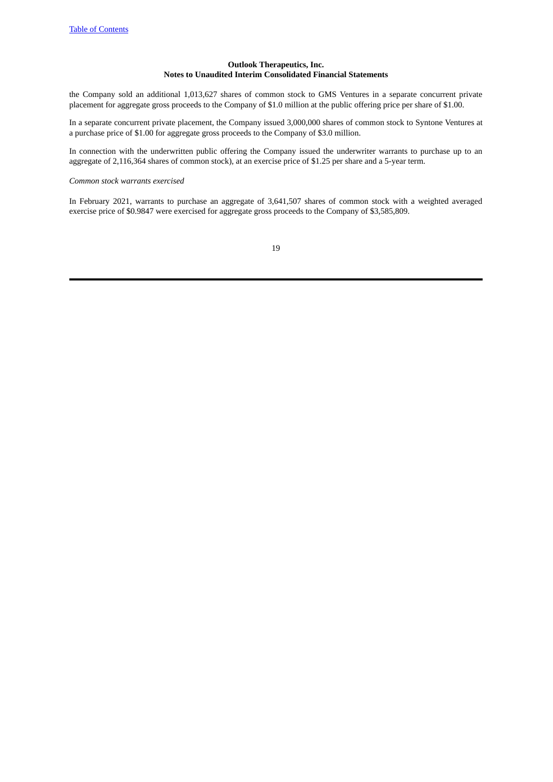the Company sold an additional 1,013,627 shares of common stock to GMS Ventures in a separate concurrent private placement for aggregate gross proceeds to the Company of \$1.0 million at the public offering price per share of \$1.00.

In a separate concurrent private placement, the Company issued 3,000,000 shares of common stock to Syntone Ventures at a purchase price of \$1.00 for aggregate gross proceeds to the Company of \$3.0 million.

In connection with the underwritten public offering the Company issued the underwriter warrants to purchase up to an aggregate of 2,116,364 shares of common stock), at an exercise price of \$1.25 per share and a 5-year term.

#### *Common stock warrants exercised*

In February 2021, warrants to purchase an aggregate of 3,641,507 shares of common stock with a weighted averaged exercise price of \$0.9847 were exercised for aggregate gross proceeds to the Company of \$3,585,809.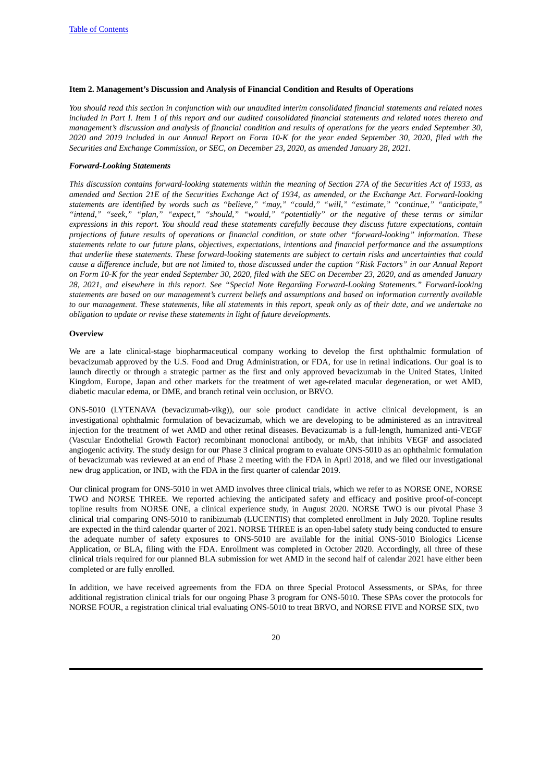### <span id="page-22-0"></span>**Item 2. Management's Discussion and Analysis of Financial Condition and Results of Operations**

You should read this section in conjunction with our unaudited interim consolidated financial statements and related notes included in Part I. Item 1 of this report and our audited consolidated financial statements and related notes thereto and management's discussion and analysis of financial condition and results of operations for the years ended September 30, 2020 and 2019 included in our Annual Report on Form 10-K for the year ended September 30, 2020, filed with the *Securities and Exchange Commission, or SEC, on December 23, 2020, as amended January 28, 2021.*

### *Forward-Looking Statements*

This discussion contains forward-looking statements within the meaning of Section 27A of the Securities Act of 1933, as amended and Section 21E of the Securities Exchange Act of 1934, as amended, or the Exchange Act. Forward-looking *statements are identified by words such as "believe," "may," "could," "will," "estimate," "continue," "anticipate," "intend," "seek," "plan," "expect," "should," "would," "potentially" or the negative of these terms or similar* expressions in this report. You should read these statements carefully because they discuss future expectations, contain *projections of future results of operations or financial condition, or state other "forward-looking" information. These* statements relate to our future plans, objectives, expectations, intentions and financial performance and the assumptions that underlie these statements. These forward-looking statements are subject to certain risks and uncertainties that could cause a difference include, but are not limited to, those discussed under the caption "Risk Factors" in our Annual Report on Form 10-K for the year ended September 30, 2020, filed with the SEC on December 23, 2020, and as amended January *28, 2021, and elsewhere in this report. See "Special Note Regarding Forward-Looking Statements." Forward-looking* statements are based on our management's current beliefs and assumptions and based on information currently available to our management. These statements, like all statements in this report, speak only as of their date, and we undertake no *obligation to update or revise these statements in light of future developments.*

#### **Overview**

We are a late clinical-stage biopharmaceutical company working to develop the first ophthalmic formulation of bevacizumab approved by the U.S. Food and Drug Administration, or FDA, for use in retinal indications. Our goal is to launch directly or through a strategic partner as the first and only approved bevacizumab in the United States, United Kingdom, Europe, Japan and other markets for the treatment of wet age-related macular degeneration, or wet AMD, diabetic macular edema, or DME, and branch retinal vein occlusion, or BRVO.

ONS-5010 (LYTENAVA (bevacizumab-vikg)), our sole product candidate in active clinical development, is an investigational ophthalmic formulation of bevacizumab, which we are developing to be administered as an intravitreal injection for the treatment of wet AMD and other retinal diseases. Bevacizumab is a full-length, humanized anti-VEGF (Vascular Endothelial Growth Factor) recombinant monoclonal antibody, or mAb, that inhibits VEGF and associated angiogenic activity. The study design for our Phase 3 clinical program to evaluate ONS-5010 as an ophthalmic formulation of bevacizumab was reviewed at an end of Phase 2 meeting with the FDA in April 2018, and we filed our investigational new drug application, or IND, with the FDA in the first quarter of calendar 2019.

Our clinical program for ONS-5010 in wet AMD involves three clinical trials, which we refer to as NORSE ONE, NORSE TWO and NORSE THREE. We reported achieving the anticipated safety and efficacy and positive proof-of-concept topline results from NORSE ONE, a clinical experience study, in August 2020. NORSE TWO is our pivotal Phase 3 clinical trial comparing ONS-5010 to ranibizumab (LUCENTIS) that completed enrollment in July 2020. Topline results are expected in the third calendar quarter of 2021. NORSE THREE is an open-label safety study being conducted to ensure the adequate number of safety exposures to ONS-5010 are available for the initial ONS-5010 Biologics License Application, or BLA, filing with the FDA. Enrollment was completed in October 2020. Accordingly, all three of these clinical trials required for our planned BLA submission for wet AMD in the second half of calendar 2021 have either been completed or are fully enrolled.

In addition, we have received agreements from the FDA on three Special Protocol Assessments, or SPAs, for three additional registration clinical trials for our ongoing Phase 3 program for ONS-5010. These SPAs cover the protocols for NORSE FOUR, a registration clinical trial evaluating ONS-5010 to treat BRVO, and NORSE FIVE and NORSE SIX, two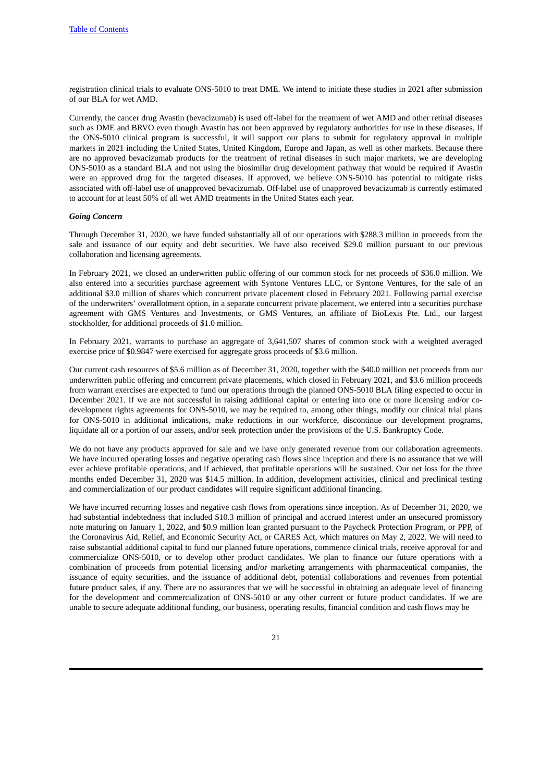registration clinical trials to evaluate ONS-5010 to treat DME. We intend to initiate these studies in 2021 after submission of our BLA for wet AMD.

Currently, the cancer drug Avastin (bevacizumab) is used off-label for the treatment of wet AMD and other retinal diseases such as DME and BRVO even though Avastin has not been approved by regulatory authorities for use in these diseases. If the ONS-5010 clinical program is successful, it will support our plans to submit for regulatory approval in multiple markets in 2021 including the United States, United Kingdom, Europe and Japan, as well as other markets. Because there are no approved bevacizumab products for the treatment of retinal diseases in such major markets, we are developing ONS-5010 as a standard BLA and not using the biosimilar drug development pathway that would be required if Avastin were an approved drug for the targeted diseases. If approved, we believe ONS-5010 has potential to mitigate risks associated with off-label use of unapproved bevacizumab. Off-label use of unapproved bevacizumab is currently estimated to account for at least 50% of all wet AMD treatments in the United States each year.

#### *Going Concern*

Through December 31, 2020, we have funded substantially all of our operations with \$288.3 million in proceeds from the sale and issuance of our equity and debt securities. We have also received \$29.0 million pursuant to our previous collaboration and licensing agreements.

In February 2021, we closed an underwritten public offering of our common stock for net proceeds of \$36.0 million. We also entered into a securities purchase agreement with Syntone Ventures LLC, or Syntone Ventures, for the sale of an additional \$3.0 million of shares which concurrent private placement closed in February 2021. Following partial exercise of the underwriters' overallotment option, in a separate concurrent private placement, we entered into a securities purchase agreement with GMS Ventures and Investments, or GMS Ventures, an affiliate of BioLexis Pte. Ltd., our largest stockholder, for additional proceeds of \$1.0 million.

In February 2021, warrants to purchase an aggregate of 3,641,507 shares of common stock with a weighted averaged exercise price of \$0.9847 were exercised for aggregate gross proceeds of \$3.6 million.

Our current cash resources of \$5.6 million as of December 31, 2020, together with the \$40.0 million net proceeds from our underwritten public offering and concurrent private placements, which closed in February 2021, and \$3.6 million proceeds from warrant exercises are expected to fund our operations through the planned ONS-5010 BLA filing expected to occur in December 2021. If we are not successful in raising additional capital or entering into one or more licensing and/or codevelopment rights agreements for ONS-5010, we may be required to, among other things, modify our clinical trial plans for ONS-5010 in additional indications, make reductions in our workforce, discontinue our development programs, liquidate all or a portion of our assets, and/or seek protection under the provisions of the U.S. Bankruptcy Code.

We do not have any products approved for sale and we have only generated revenue from our collaboration agreements. We have incurred operating losses and negative operating cash flows since inception and there is no assurance that we will ever achieve profitable operations, and if achieved, that profitable operations will be sustained. Our net loss for the three months ended December 31, 2020 was \$14.5 million. In addition, development activities, clinical and preclinical testing and commercialization of our product candidates will require significant additional financing.

We have incurred recurring losses and negative cash flows from operations since inception. As of December 31, 2020, we had substantial indebtedness that included \$10.3 million of principal and accrued interest under an unsecured promissory note maturing on January 1, 2022, and \$0.9 million loan granted pursuant to the Paycheck Protection Program, or PPP, of the Coronavirus Aid, Relief, and Economic Security Act, or CARES Act, which matures on May 2, 2022. We will need to raise substantial additional capital to fund our planned future operations, commence clinical trials, receive approval for and commercialize ONS-5010, or to develop other product candidates. We plan to finance our future operations with a combination of proceeds from potential licensing and/or marketing arrangements with pharmaceutical companies, the issuance of equity securities, and the issuance of additional debt, potential collaborations and revenues from potential future product sales, if any. There are no assurances that we will be successful in obtaining an adequate level of financing for the development and commercialization of ONS-5010 or any other current or future product candidates. If we are unable to secure adequate additional funding, our business, operating results, financial condition and cash flows may be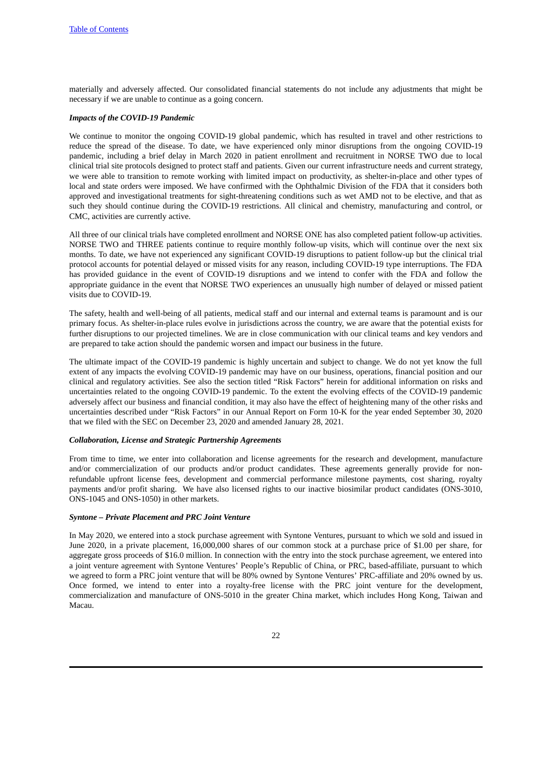materially and adversely affected. Our consolidated financial statements do not include any adjustments that might be necessary if we are unable to continue as a going concern.

### *Impacts of the COVID-19 Pandemic*

We continue to monitor the ongoing COVID-19 global pandemic, which has resulted in travel and other restrictions to reduce the spread of the disease. To date, we have experienced only minor disruptions from the ongoing COVID-19 pandemic, including a brief delay in March 2020 in patient enrollment and recruitment in NORSE TWO due to local clinical trial site protocols designed to protect staff and patients. Given our current infrastructure needs and current strategy, we were able to transition to remote working with limited impact on productivity, as shelter-in-place and other types of local and state orders were imposed. We have confirmed with the Ophthalmic Division of the FDA that it considers both approved and investigational treatments for sight-threatening conditions such as wet AMD not to be elective, and that as such they should continue during the COVID-19 restrictions. All clinical and chemistry, manufacturing and control, or CMC, activities are currently active.

All three of our clinical trials have completed enrollment and NORSE ONE has also completed patient follow-up activities. NORSE TWO and THREE patients continue to require monthly follow-up visits, which will continue over the next six months. To date, we have not experienced any significant COVID-19 disruptions to patient follow-up but the clinical trial protocol accounts for potential delayed or missed visits for any reason, including COVID-19 type interruptions. The FDA has provided guidance in the event of COVID-19 disruptions and we intend to confer with the FDA and follow the appropriate guidance in the event that NORSE TWO experiences an unusually high number of delayed or missed patient visits due to COVID-19.

The safety, health and well-being of all patients, medical staff and our internal and external teams is paramount and is our primary focus. As shelter-in-place rules evolve in jurisdictions across the country, we are aware that the potential exists for further disruptions to our projected timelines. We are in close communication with our clinical teams and key vendors and are prepared to take action should the pandemic worsen and impact our business in the future.

The ultimate impact of the COVID-19 pandemic is highly uncertain and subject to change. We do not yet know the full extent of any impacts the evolving COVID-19 pandemic may have on our business, operations, financial position and our clinical and regulatory activities. See also the section titled "Risk Factors" herein for additional information on risks and uncertainties related to the ongoing COVID-19 pandemic. To the extent the evolving effects of the COVID-19 pandemic adversely affect our business and financial condition, it may also have the effect of heightening many of the other risks and uncertainties described under "Risk Factors" in our Annual Report on Form 10-K for the year ended September 30, 2020 that we filed with the SEC on December 23, 2020 and amended January 28, 2021.

### *Collaboration, License and Strategic Partnership Agreements*

From time to time, we enter into collaboration and license agreements for the research and development, manufacture and/or commercialization of our products and/or product candidates. These agreements generally provide for nonrefundable upfront license fees, development and commercial performance milestone payments, cost sharing, royalty payments and/or profit sharing. We have also licensed rights to our inactive biosimilar product candidates (ONS-3010, ONS-1045 and ONS-1050) in other markets.

#### *Syntone – Private Placement and PRC Joint Venture*

In May 2020, we entered into a stock purchase agreement with Syntone Ventures, pursuant to which we sold and issued in June 2020, in a private placement, 16,000,000 shares of our common stock at a purchase price of \$1.00 per share, for aggregate gross proceeds of \$16.0 million. In connection with the entry into the stock purchase agreement, we entered into a joint venture agreement with Syntone Ventures' People's Republic of China, or PRC, based-affiliate, pursuant to which we agreed to form a PRC joint venture that will be 80% owned by Syntone Ventures' PRC-affiliate and 20% owned by us. Once formed, we intend to enter into a royalty-free license with the PRC joint venture for the development, commercialization and manufacture of ONS-5010 in the greater China market, which includes Hong Kong, Taiwan and Macau.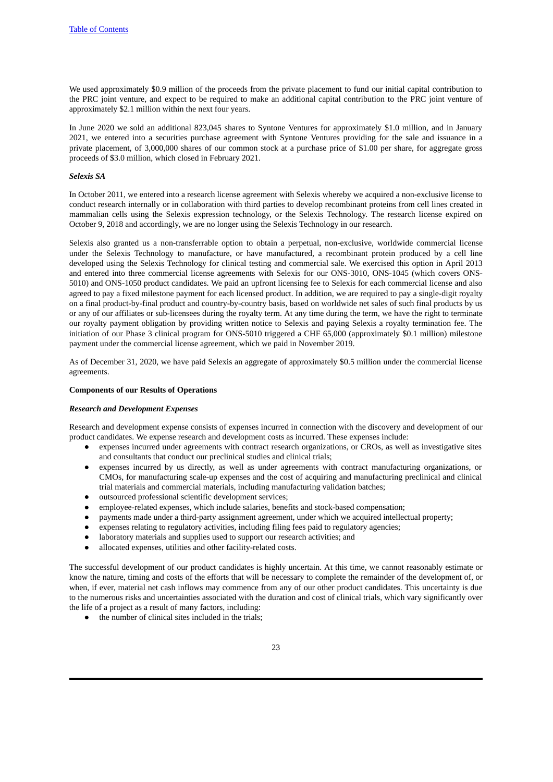We used approximately \$0.9 million of the proceeds from the private placement to fund our initial capital contribution to the PRC joint venture, and expect to be required to make an additional capital contribution to the PRC joint venture of approximately \$2.1 million within the next four years.

In June 2020 we sold an additional 823,045 shares to Syntone Ventures for approximately \$1.0 million, and in January 2021, we entered into a securities purchase agreement with Syntone Ventures providing for the sale and issuance in a private placement, of 3,000,000 shares of our common stock at a purchase price of \$1.00 per share, for aggregate gross proceeds of \$3.0 million, which closed in February 2021.

### *Selexis SA*

In October 2011, we entered into a research license agreement with Selexis whereby we acquired a non-exclusive license to conduct research internally or in collaboration with third parties to develop recombinant proteins from cell lines created in mammalian cells using the Selexis expression technology, or the Selexis Technology. The research license expired on October 9, 2018 and accordingly, we are no longer using the Selexis Technology in our research.

Selexis also granted us a non-transferrable option to obtain a perpetual, non-exclusive, worldwide commercial license under the Selexis Technology to manufacture, or have manufactured, a recombinant protein produced by a cell line developed using the Selexis Technology for clinical testing and commercial sale. We exercised this option in April 2013 and entered into three commercial license agreements with Selexis for our ONS-3010, ONS-1045 (which covers ONS-5010) and ONS-1050 product candidates. We paid an upfront licensing fee to Selexis for each commercial license and also agreed to pay a fixed milestone payment for each licensed product. In addition, we are required to pay a single-digit royalty on a final product-by-final product and country-by-country basis, based on worldwide net sales of such final products by us or any of our affiliates or sub-licensees during the royalty term. At any time during the term, we have the right to terminate our royalty payment obligation by providing written notice to Selexis and paying Selexis a royalty termination fee. The initiation of our Phase 3 clinical program for ONS-5010 triggered a CHF 65,000 (approximately \$0.1 million) milestone payment under the commercial license agreement, which we paid in November 2019.

As of December 31, 2020, we have paid Selexis an aggregate of approximately \$0.5 million under the commercial license agreements.

#### **Components of our Results of Operations**

#### *Research and Development Expenses*

Research and development expense consists of expenses incurred in connection with the discovery and development of our product candidates. We expense research and development costs as incurred. These expenses include:

- expenses incurred under agreements with contract research organizations, or CROs, as well as investigative sites and consultants that conduct our preclinical studies and clinical trials;
- expenses incurred by us directly, as well as under agreements with contract manufacturing organizations, or CMOs, for manufacturing scale-up expenses and the cost of acquiring and manufacturing preclinical and clinical trial materials and commercial materials, including manufacturing validation batches;
- outsourced professional scientific development services;
- employee-related expenses, which include salaries, benefits and stock-based compensation;
- payments made under a third-party assignment agreement, under which we acquired intellectual property;
- expenses relating to regulatory activities, including filing fees paid to regulatory agencies;
- laboratory materials and supplies used to support our research activities; and
- allocated expenses, utilities and other facility-related costs.

The successful development of our product candidates is highly uncertain. At this time, we cannot reasonably estimate or know the nature, timing and costs of the efforts that will be necessary to complete the remainder of the development of, or when, if ever, material net cash inflows may commence from any of our other product candidates. This uncertainty is due to the numerous risks and uncertainties associated with the duration and cost of clinical trials, which vary significantly over the life of a project as a result of many factors, including:

● the number of clinical sites included in the trials;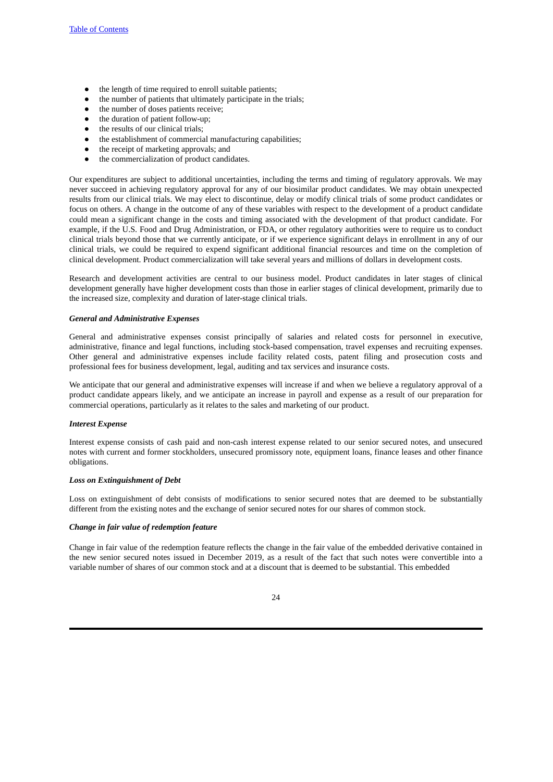- the length of time required to enroll suitable patients;
- the number of patients that ultimately participate in the trials;
- the number of doses patients receive;
- the duration of patient follow-up;
- the results of our clinical trials;
- the establishment of commercial manufacturing capabilities;
- the receipt of marketing approvals; and
- the commercialization of product candidates.

Our expenditures are subject to additional uncertainties, including the terms and timing of regulatory approvals. We may never succeed in achieving regulatory approval for any of our biosimilar product candidates. We may obtain unexpected results from our clinical trials. We may elect to discontinue, delay or modify clinical trials of some product candidates or focus on others. A change in the outcome of any of these variables with respect to the development of a product candidate could mean a significant change in the costs and timing associated with the development of that product candidate. For example, if the U.S. Food and Drug Administration, or FDA, or other regulatory authorities were to require us to conduct clinical trials beyond those that we currently anticipate, or if we experience significant delays in enrollment in any of our clinical trials, we could be required to expend significant additional financial resources and time on the completion of clinical development. Product commercialization will take several years and millions of dollars in development costs.

Research and development activities are central to our business model. Product candidates in later stages of clinical development generally have higher development costs than those in earlier stages of clinical development, primarily due to the increased size, complexity and duration of later-stage clinical trials.

#### *General and Administrative Expenses*

General and administrative expenses consist principally of salaries and related costs for personnel in executive, administrative, finance and legal functions, including stock-based compensation, travel expenses and recruiting expenses. Other general and administrative expenses include facility related costs, patent filing and prosecution costs and professional fees for business development, legal, auditing and tax services and insurance costs.

We anticipate that our general and administrative expenses will increase if and when we believe a regulatory approval of a product candidate appears likely, and we anticipate an increase in payroll and expense as a result of our preparation for commercial operations, particularly as it relates to the sales and marketing of our product.

#### *Interest Expense*

Interest expense consists of cash paid and non-cash interest expense related to our senior secured notes, and unsecured notes with current and former stockholders, unsecured promissory note, equipment loans, finance leases and other finance obligations.

#### *Loss on Extinguishment of Debt*

Loss on extinguishment of debt consists of modifications to senior secured notes that are deemed to be substantially different from the existing notes and the exchange of senior secured notes for our shares of common stock.

### *Change in fair value of redemption feature*

Change in fair value of the redemption feature reflects the change in the fair value of the embedded derivative contained in the new senior secured notes issued in December 2019, as a result of the fact that such notes were convertible into a variable number of shares of our common stock and at a discount that is deemed to be substantial. This embedded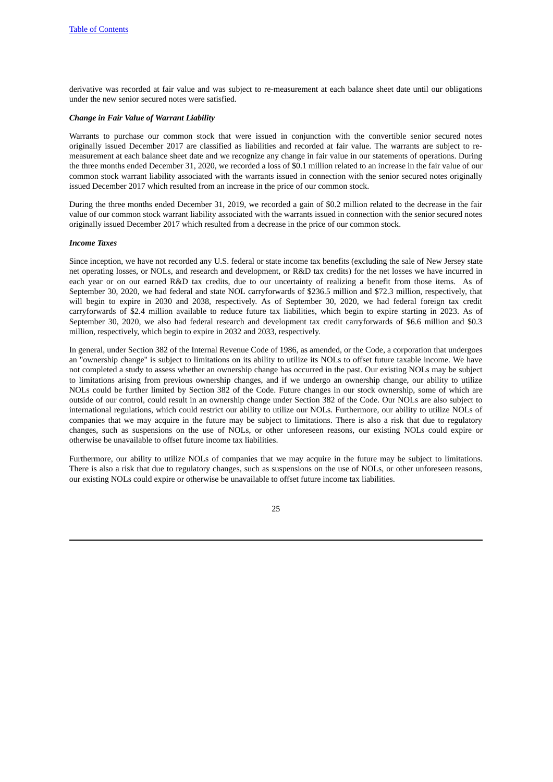derivative was recorded at fair value and was subject to re-measurement at each balance sheet date until our obligations under the new senior secured notes were satisfied.

### *Change in Fair Value of Warrant Liability*

Warrants to purchase our common stock that were issued in conjunction with the convertible senior secured notes originally issued December 2017 are classified as liabilities and recorded at fair value. The warrants are subject to remeasurement at each balance sheet date and we recognize any change in fair value in our statements of operations. During the three months ended December 31, 2020, we recorded a loss of \$0.1 million related to an increase in the fair value of our common stock warrant liability associated with the warrants issued in connection with the senior secured notes originally issued December 2017 which resulted from an increase in the price of our common stock.

During the three months ended December 31, 2019, we recorded a gain of \$0.2 million related to the decrease in the fair value of our common stock warrant liability associated with the warrants issued in connection with the senior secured notes originally issued December 2017 which resulted from a decrease in the price of our common stock.

#### *Income Taxes*

Since inception, we have not recorded any U.S. federal or state income tax benefits (excluding the sale of New Jersey state net operating losses, or NOLs, and research and development, or R&D tax credits) for the net losses we have incurred in each year or on our earned R&D tax credits, due to our uncertainty of realizing a benefit from those items. As of September 30, 2020, we had federal and state NOL carryforwards of \$236.5 million and \$72.3 million, respectively, that will begin to expire in 2030 and 2038, respectively. As of September 30, 2020, we had federal foreign tax credit carryforwards of \$2.4 million available to reduce future tax liabilities, which begin to expire starting in 2023. As of September 30, 2020, we also had federal research and development tax credit carryforwards of \$6.6 million and \$0.3 million, respectively, which begin to expire in 2032 and 2033, respectively.

In general, under Section 382 of the Internal Revenue Code of 1986, as amended, or the Code, a corporation that undergoes an "ownership change" is subject to limitations on its ability to utilize its NOLs to offset future taxable income. We have not completed a study to assess whether an ownership change has occurred in the past. Our existing NOLs may be subject to limitations arising from previous ownership changes, and if we undergo an ownership change, our ability to utilize NOLs could be further limited by Section 382 of the Code. Future changes in our stock ownership, some of which are outside of our control, could result in an ownership change under Section 382 of the Code. Our NOLs are also subject to international regulations, which could restrict our ability to utilize our NOLs. Furthermore, our ability to utilize NOLs of companies that we may acquire in the future may be subject to limitations. There is also a risk that due to regulatory changes, such as suspensions on the use of NOLs, or other unforeseen reasons, our existing NOLs could expire or otherwise be unavailable to offset future income tax liabilities.

Furthermore, our ability to utilize NOLs of companies that we may acquire in the future may be subject to limitations. There is also a risk that due to regulatory changes, such as suspensions on the use of NOLs, or other unforeseen reasons, our existing NOLs could expire or otherwise be unavailable to offset future income tax liabilities.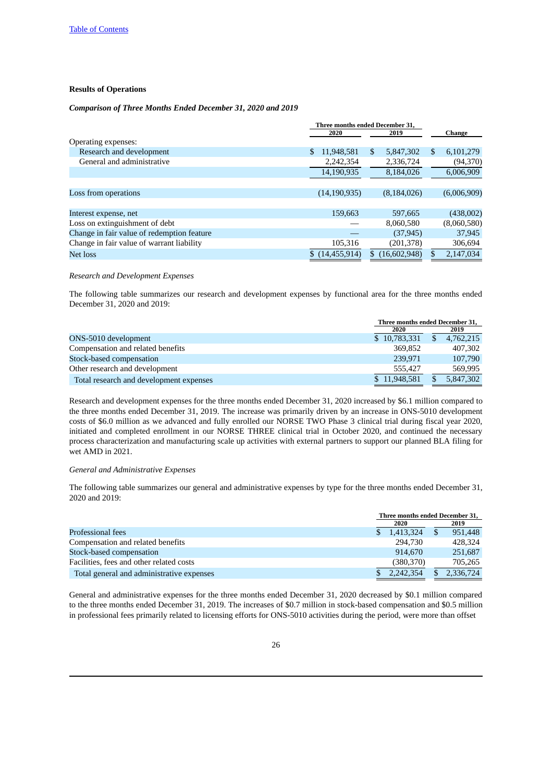### **Results of Operations**

### *Comparison of Three Months Ended December 31, 2020 and 2019*

|                                            |                | Three months ended December 31, |    |             |
|--------------------------------------------|----------------|---------------------------------|----|-------------|
|                                            | 2020           | 2019                            |    | Change      |
| Operating expenses:                        |                |                                 |    |             |
| Research and development                   | 11,948,581     | \$.<br>5,847,302                | \$ | 6,101,279   |
| General and administrative                 | 2,242,354      | 2,336,724                       |    | (94, 370)   |
|                                            | 14,190,935     | 8,184,026                       |    | 6,006,909   |
|                                            |                |                                 |    |             |
| Loss from operations                       | (14, 190, 935) | (8, 184, 026)                   |    | (6,006,909) |
|                                            |                |                                 |    |             |
| Interest expense, net                      | 159,663        | 597,665                         |    | (438,002)   |
| Loss on extinguishment of debt             |                | 8,060,580                       |    | (8,060,580) |
| Change in fair value of redemption feature |                | (37, 945)                       |    | 37,945      |
| Change in fair value of warrant liability  | 105.316        | (201,378)                       |    | 306,694     |
| Net loss                                   | (14, 455, 914) | (16,602,948)                    | £. | 2,147,034   |
|                                            |                |                                 |    |             |

*Research and Development Expenses*

The following table summarizes our research and development expenses by functional area for the three months ended December 31, 2020 and 2019:

|                                         | Three months ended December 31, |     |           |
|-----------------------------------------|---------------------------------|-----|-----------|
|                                         | 2020                            |     | 2019      |
| ONS-5010 development                    | \$10,783,331                    | \$. | 4,762,215 |
| Compensation and related benefits       | 369.852                         |     | 407,302   |
| Stock-based compensation                | 239,971                         |     | 107.790   |
| Other research and development          | 555.427                         |     | 569,995   |
| Total research and development expenses | \$11,948,581                    | \$. | 5,847,302 |

Research and development expenses for the three months ended December 31, 2020 increased by \$6.1 million compared to the three months ended December 31, 2019. The increase was primarily driven by an increase in ONS-5010 development costs of \$6.0 million as we advanced and fully enrolled our NORSE TWO Phase 3 clinical trial during fiscal year 2020, initiated and completed enrollment in our NORSE THREE clinical trial in October 2020, and continued the necessary process characterization and manufacturing scale up activities with external partners to support our planned BLA filing for wet AMD in 2021.

### *General and Administrative Expenses*

The following table summarizes our general and administrative expenses by type for the three months ended December 31, 2020 and 2019:

|                                           | Three months ended December 31, |            |           |
|-------------------------------------------|---------------------------------|------------|-----------|
|                                           |                                 | 2020       | 2019      |
| Professional fees                         |                                 | 1,413,324  | 951,448   |
| Compensation and related benefits         |                                 | 294.730    | 428.324   |
| Stock-based compensation                  |                                 | 914,670    | 251,687   |
| Facilities, fees and other related costs  |                                 | (380, 370) | 705.265   |
| Total general and administrative expenses |                                 | 2,242,354  | 2,336,724 |

General and administrative expenses for the three months ended December 31, 2020 decreased by \$0.1 million compared to the three months ended December 31, 2019. The increases of \$0.7 million in stock-based compensation and \$0.5 million in professional fees primarily related to licensing efforts for ONS-5010 activities during the period, were more than offset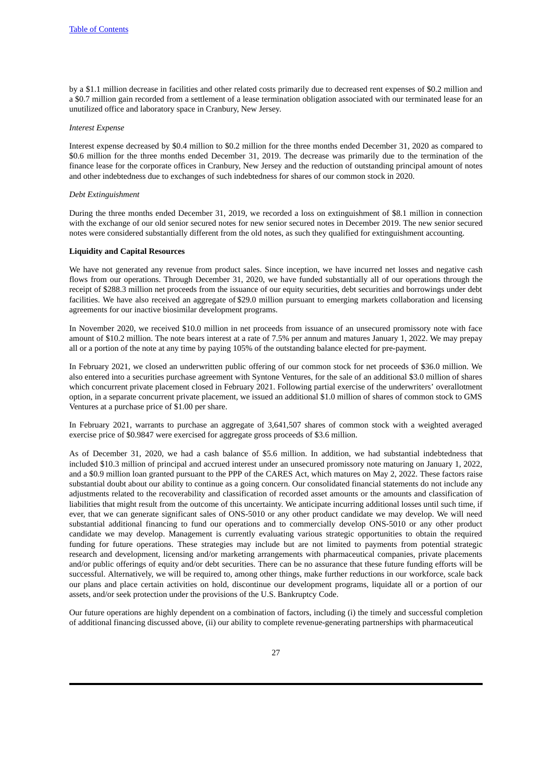by a \$1.1 million decrease in facilities and other related costs primarily due to decreased rent expenses of \$0.2 million and a \$0.7 million gain recorded from a settlement of a lease termination obligation associated with our terminated lease for an unutilized office and laboratory space in Cranbury, New Jersey.

#### *Interest Expense*

Interest expense decreased by \$0.4 million to \$0.2 million for the three months ended December 31, 2020 as compared to \$0.6 million for the three months ended December 31, 2019. The decrease was primarily due to the termination of the finance lease for the corporate offices in Cranbury, New Jersey and the reduction of outstanding principal amount of notes and other indebtedness due to exchanges of such indebtedness for shares of our common stock in 2020.

#### *Debt Extinguishment*

During the three months ended December 31, 2019, we recorded a loss on extinguishment of \$8.1 million in connection with the exchange of our old senior secured notes for new senior secured notes in December 2019. The new senior secured notes were considered substantially different from the old notes, as such they qualified for extinguishment accounting.

#### **Liquidity and Capital Resources**

We have not generated any revenue from product sales. Since inception, we have incurred net losses and negative cash flows from our operations. Through December 31, 2020, we have funded substantially all of our operations through the receipt of \$288.3 million net proceeds from the issuance of our equity securities, debt securities and borrowings under debt facilities. We have also received an aggregate of \$29.0 million pursuant to emerging markets collaboration and licensing agreements for our inactive biosimilar development programs.

In November 2020, we received \$10.0 million in net proceeds from issuance of an unsecured promissory note with face amount of \$10.2 million. The note bears interest at a rate of 7.5% per annum and matures January 1, 2022. We may prepay all or a portion of the note at any time by paying 105% of the outstanding balance elected for pre-payment.

In February 2021, we closed an underwritten public offering of our common stock for net proceeds of \$36.0 million. We also entered into a securities purchase agreement with Syntone Ventures, for the sale of an additional \$3.0 million of shares which concurrent private placement closed in February 2021. Following partial exercise of the underwriters' overallotment option, in a separate concurrent private placement, we issued an additional \$1.0 million of shares of common stock to GMS Ventures at a purchase price of \$1.00 per share.

In February 2021, warrants to purchase an aggregate of 3,641,507 shares of common stock with a weighted averaged exercise price of \$0.9847 were exercised for aggregate gross proceeds of \$3.6 million.

As of December 31, 2020, we had a cash balance of \$5.6 million. In addition, we had substantial indebtedness that included \$10.3 million of principal and accrued interest under an unsecured promissory note maturing on January 1, 2022, and a \$0.9 million loan granted pursuant to the PPP of the CARES Act, which matures on May 2, 2022. These factors raise substantial doubt about our ability to continue as a going concern. Our consolidated financial statements do not include any adjustments related to the recoverability and classification of recorded asset amounts or the amounts and classification of liabilities that might result from the outcome of this uncertainty. We anticipate incurring additional losses until such time, if ever, that we can generate significant sales of ONS-5010 or any other product candidate we may develop. We will need substantial additional financing to fund our operations and to commercially develop ONS-5010 or any other product candidate we may develop. Management is currently evaluating various strategic opportunities to obtain the required funding for future operations. These strategies may include but are not limited to payments from potential strategic research and development, licensing and/or marketing arrangements with pharmaceutical companies, private placements and/or public offerings of equity and/or debt securities. There can be no assurance that these future funding efforts will be successful. Alternatively, we will be required to, among other things, make further reductions in our workforce, scale back our plans and place certain activities on hold, discontinue our development programs, liquidate all or a portion of our assets, and/or seek protection under the provisions of the U.S. Bankruptcy Code.

Our future operations are highly dependent on a combination of factors, including (i) the timely and successful completion of additional financing discussed above, (ii) our ability to complete revenue-generating partnerships with pharmaceutical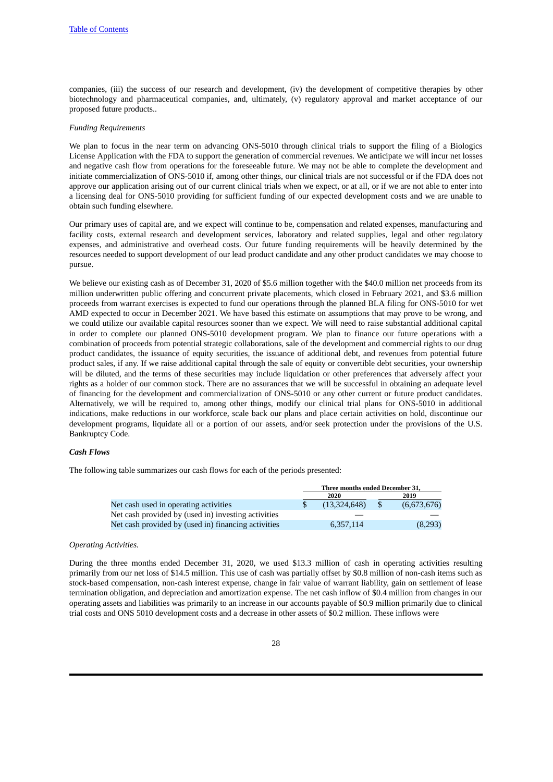companies, (iii) the success of our research and development, (iv) the development of competitive therapies by other biotechnology and pharmaceutical companies, and, ultimately, (v) regulatory approval and market acceptance of our proposed future products..

### *Funding Requirements*

We plan to focus in the near term on advancing ONS-5010 through clinical trials to support the filing of a Biologics License Application with the FDA to support the generation of commercial revenues. We anticipate we will incur net losses and negative cash flow from operations for the foreseeable future. We may not be able to complete the development and initiate commercialization of ONS-5010 if, among other things, our clinical trials are not successful or if the FDA does not approve our application arising out of our current clinical trials when we expect, or at all, or if we are not able to enter into a licensing deal for ONS-5010 providing for sufficient funding of our expected development costs and we are unable to obtain such funding elsewhere.

Our primary uses of capital are, and we expect will continue to be, compensation and related expenses, manufacturing and facility costs, external research and development services, laboratory and related supplies, legal and other regulatory expenses, and administrative and overhead costs. Our future funding requirements will be heavily determined by the resources needed to support development of our lead product candidate and any other product candidates we may choose to pursue.

We believe our existing cash as of December 31, 2020 of \$5.6 million together with the \$40.0 million net proceeds from its million underwritten public offering and concurrent private placements, which closed in February 2021, and \$3.6 million proceeds from warrant exercises is expected to fund our operations through the planned BLA filing for ONS-5010 for wet AMD expected to occur in December 2021. We have based this estimate on assumptions that may prove to be wrong, and we could utilize our available capital resources sooner than we expect. We will need to raise substantial additional capital in order to complete our planned ONS-5010 development program. We plan to finance our future operations with a combination of proceeds from potential strategic collaborations, sale of the development and commercial rights to our drug product candidates, the issuance of equity securities, the issuance of additional debt, and revenues from potential future product sales, if any. If we raise additional capital through the sale of equity or convertible debt securities, your ownership will be diluted, and the terms of these securities may include liquidation or other preferences that adversely affect your rights as a holder of our common stock. There are no assurances that we will be successful in obtaining an adequate level of financing for the development and commercialization of ONS-5010 or any other current or future product candidates. Alternatively, we will be required to, among other things, modify our clinical trial plans for ONS-5010 in additional indications, make reductions in our workforce, scale back our plans and place certain activities on hold, discontinue our development programs, liquidate all or a portion of our assets, and/or seek protection under the provisions of the U.S. Bankruptcy Code.

### *Cash Flows*

The following table summarizes our cash flows for each of the periods presented:

|                                                     | Three months ended December 31, |              |  |             |
|-----------------------------------------------------|---------------------------------|--------------|--|-------------|
|                                                     |                                 | 2020         |  | 2019        |
| Net cash used in operating activities               |                                 | (13,324,648) |  | (6,673,676) |
| Net cash provided by (used in) investing activities |                                 |              |  |             |
| Net cash provided by (used in) financing activities |                                 | 6.357.114    |  | (8,293)     |

### *Operating Activities.*

During the three months ended December 31, 2020, we used \$13.3 million of cash in operating activities resulting primarily from our net loss of \$14.5 million. This use of cash was partially offset by \$0.8 million of non-cash items such as stock-based compensation, non-cash interest expense, change in fair value of warrant liability, gain on settlement of lease termination obligation, and depreciation and amortization expense. The net cash inflow of \$0.4 million from changes in our operating assets and liabilities was primarily to an increase in our accounts payable of \$0.9 million primarily due to clinical trial costs and ONS 5010 development costs and a decrease in other assets of \$0.2 million. These inflows were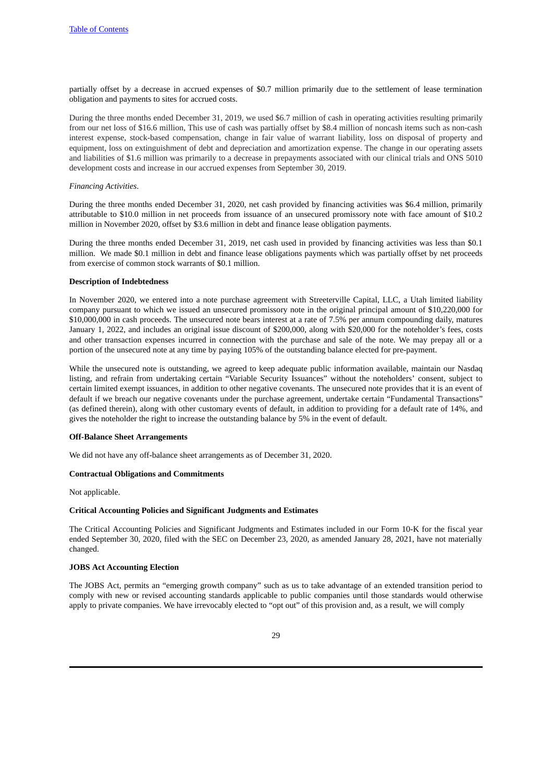partially offset by a decrease in accrued expenses of \$0.7 million primarily due to the settlement of lease termination obligation and payments to sites for accrued costs.

During the three months ended December 31, 2019, we used \$6.7 million of cash in operating activities resulting primarily from our net loss of \$16.6 million, This use of cash was partially offset by \$8.4 million of noncash items such as non-cash interest expense, stock-based compensation, change in fair value of warrant liability, loss on disposal of property and equipment, loss on extinguishment of debt and depreciation and amortization expense. The change in our operating assets and liabilities of \$1.6 million was primarily to a decrease in prepayments associated with our clinical trials and ONS 5010 development costs and increase in our accrued expenses from September 30, 2019.

#### *Financing Activities*.

During the three months ended December 31, 2020, net cash provided by financing activities was \$6.4 million, primarily attributable to \$10.0 million in net proceeds from issuance of an unsecured promissory note with face amount of \$10.2 million in November 2020, offset by \$3.6 million in debt and finance lease obligation payments.

During the three months ended December 31, 2019, net cash used in provided by financing activities was less than \$0.1 million. We made \$0.1 million in debt and finance lease obligations payments which was partially offset by net proceeds from exercise of common stock warrants of \$0.1 million.

### **Description of Indebtedness**

In November 2020, we entered into a note purchase agreement with Streeterville Capital, LLC, a Utah limited liability company pursuant to which we issued an unsecured promissory note in the original principal amount of \$10,220,000 for \$10,000,000 in cash proceeds. The unsecured note bears interest at a rate of 7.5% per annum compounding daily, matures January 1, 2022, and includes an original issue discount of \$200,000, along with \$20,000 for the noteholder's fees, costs and other transaction expenses incurred in connection with the purchase and sale of the note. We may prepay all or a portion of the unsecured note at any time by paying 105% of the outstanding balance elected for pre-payment.

While the unsecured note is outstanding, we agreed to keep adequate public information available, maintain our Nasdaq listing, and refrain from undertaking certain "Variable Security Issuances" without the noteholders' consent, subject to certain limited exempt issuances, in addition to other negative covenants. The unsecured note provides that it is an event of default if we breach our negative covenants under the purchase agreement, undertake certain "Fundamental Transactions" (as defined therein), along with other customary events of default, in addition to providing for a default rate of 14%, and gives the noteholder the right to increase the outstanding balance by 5% in the event of default.

#### **Off-Balance Sheet Arrangements**

We did not have any off-balance sheet arrangements as of December 31, 2020.

## **Contractual Obligations and Commitments**

Not applicable.

### **Critical Accounting Policies and Significant Judgments and Estimates**

The Critical Accounting Policies and Significant Judgments and Estimates included in our Form 10-K for the fiscal year ended September 30, 2020, filed with the SEC on December 23, 2020, as amended January 28, 2021, have not materially changed.

#### **JOBS Act Accounting Election**

The JOBS Act, permits an "emerging growth company" such as us to take advantage of an extended transition period to comply with new or revised accounting standards applicable to public companies until those standards would otherwise apply to private companies. We have irrevocably elected to "opt out" of this provision and, as a result, we will comply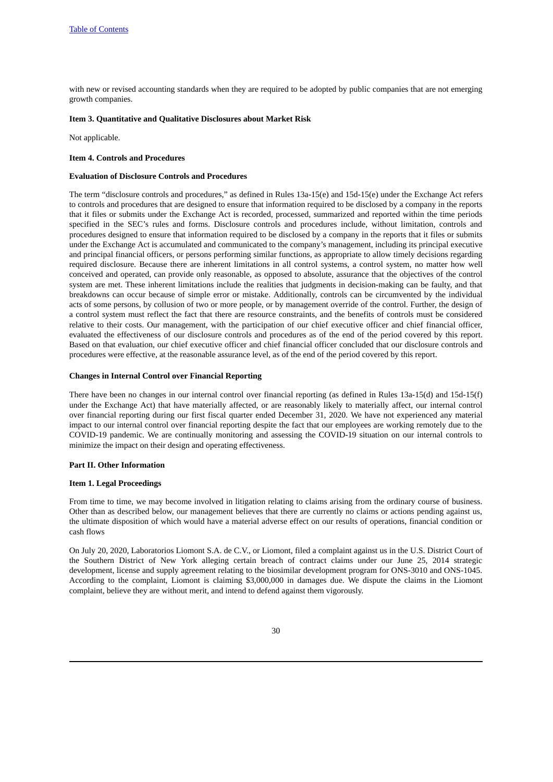with new or revised accounting standards when they are required to be adopted by public companies that are not emerging growth companies.

#### <span id="page-32-0"></span>**Item 3. Quantitative and Qualitative Disclosures about Market Risk**

Not applicable.

#### <span id="page-32-1"></span>**Item 4. Controls and Procedures**

### **Evaluation of Disclosure Controls and Procedures**

The term "disclosure controls and procedures," as defined in Rules 13a-15(e) and 15d-15(e) under the Exchange Act refers to controls and procedures that are designed to ensure that information required to be disclosed by a company in the reports that it files or submits under the Exchange Act is recorded, processed, summarized and reported within the time periods specified in the SEC's rules and forms. Disclosure controls and procedures include, without limitation, controls and procedures designed to ensure that information required to be disclosed by a company in the reports that it files or submits under the Exchange Act is accumulated and communicated to the company's management, including its principal executive and principal financial officers, or persons performing similar functions, as appropriate to allow timely decisions regarding required disclosure. Because there are inherent limitations in all control systems, a control system, no matter how well conceived and operated, can provide only reasonable, as opposed to absolute, assurance that the objectives of the control system are met. These inherent limitations include the realities that judgments in decision-making can be faulty, and that breakdowns can occur because of simple error or mistake. Additionally, controls can be circumvented by the individual acts of some persons, by collusion of two or more people, or by management override of the control. Further, the design of a control system must reflect the fact that there are resource constraints, and the benefits of controls must be considered relative to their costs. Our management, with the participation of our chief executive officer and chief financial officer, evaluated the effectiveness of our disclosure controls and procedures as of the end of the period covered by this report. Based on that evaluation, our chief executive officer and chief financial officer concluded that our disclosure controls and procedures were effective, at the reasonable assurance level, as of the end of the period covered by this report.

#### **Changes in Internal Control over Financial Reporting**

There have been no changes in our internal control over financial reporting (as defined in Rules 13a-15(d) and 15d-15(f) under the Exchange Act) that have materially affected, or are reasonably likely to materially affect, our internal control over financial reporting during our first fiscal quarter ended December 31, 2020. We have not experienced any material impact to our internal control over financial reporting despite the fact that our employees are working remotely due to the COVID-19 pandemic. We are continually monitoring and assessing the COVID-19 situation on our internal controls to minimize the impact on their design and operating effectiveness.

#### <span id="page-32-2"></span>**Part II. Other Information**

#### <span id="page-32-3"></span>**Item 1. Legal Proceedings**

From time to time, we may become involved in litigation relating to claims arising from the ordinary course of business. Other than as described below, our management believes that there are currently no claims or actions pending against us, the ultimate disposition of which would have a material adverse effect on our results of operations, financial condition or cash flows

On July 20, 2020, Laboratorios Liomont S.A. de C.V., or Liomont, filed a complaint against us in the U.S. District Court of the Southern District of New York alleging certain breach of contract claims under our June 25, 2014 strategic development, license and supply agreement relating to the biosimilar development program for ONS-3010 and ONS-1045. According to the complaint, Liomont is claiming \$3,000,000 in damages due. We dispute the claims in the Liomont complaint, believe they are without merit, and intend to defend against them vigorously.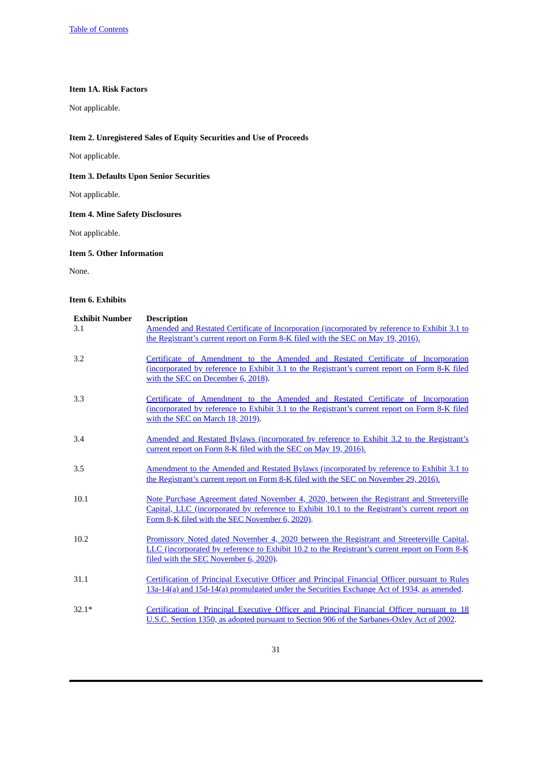# <span id="page-33-0"></span>**Item 1A. Risk Factors**

Not applicable.

# <span id="page-33-1"></span>**Item 2. Unregistered Sales of Equity Securities and Use of Proceeds**

Not applicable.

# <span id="page-33-2"></span>**Item 3. Defaults Upon Senior Securities**

Not applicable.

# <span id="page-33-3"></span>**Item 4. Mine Safety Disclosures**

Not applicable.

# <span id="page-33-4"></span>**Item 5. Other Information**

None.

# <span id="page-33-5"></span>**Item 6. Exhibits**

| <b>Exhibit Number</b><br>3.1 | <b>Description</b><br>Amended and Restated Certificate of Incorporation (incorporated by reference to Exhibit 3.1 to<br>the Registrant's current report on Form 8-K filed with the SEC on May 19, 2016).                                    |
|------------------------------|---------------------------------------------------------------------------------------------------------------------------------------------------------------------------------------------------------------------------------------------|
| 3.2                          | Certificate of Amendment to the Amended and Restated Certificate of Incorporation<br>(incorporated by reference to Exhibit 3.1 to the Registrant's current report on Form 8-K filed<br>with the SEC on December 6, 2018).                   |
| 3.3                          | Certificate of Amendment to the Amended and Restated Certificate of Incorporation<br>(incorporated by reference to Exhibit 3.1 to the Registrant's current report on Form 8-K filed<br>with the SEC on March 18, 2019).                     |
| 3.4                          | Amended and Restated Bylaws (incorporated by reference to Exhibit 3.2 to the Registrant's<br>current report on Form 8-K filed with the SEC on May 19, 2016).                                                                                |
| 3.5                          | Amendment to the Amended and Restated Bylaws (incorporated by reference to Exhibit 3.1 to<br>the Registrant's current report on Form 8-K filed with the SEC on November 29, 2016).                                                          |
| 10.1                         | Note Purchase Agreement dated November 4, 2020, between the Registrant and Streeterville<br>Capital, LLC (incorporated by reference to Exhibit 10.1 to the Registrant's current report on<br>Form 8-K filed with the SEC November 6, 2020). |
| 10.2                         | Promissory Noted dated November 4, 2020 between the Registrant and Streeterville Capital,<br>LLC (incorporated by reference to Exhibit 10.2 to the Registrant's current report on Form 8-K<br>filed with the SEC November 6, 2020).         |
| 31.1                         | <b>Certification of Principal Executive Officer and Principal Financial Officer pursuant to Rules</b><br>13a-14(a) and 15d-14(a) promulgated under the Securities Exchange Act of 1934, as amended.                                         |
| $32.1*$                      | Certification of Principal Executive Officer and Principal Financial Officer pursuant to 18<br>U.S.C. Section 1350, as adopted pursuant to Section 906 of the Sarbanes-Oxley Act of 2002.                                                   |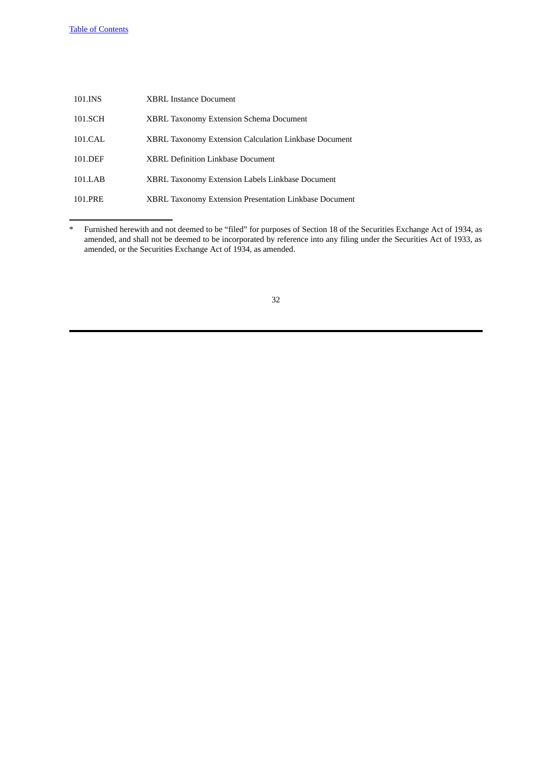| 101.INS | <b>XBRL Instance Document</b>                                 |
|---------|---------------------------------------------------------------|
| 101.SCH | <b>XBRL Taxonomy Extension Schema Document</b>                |
| 101.CAL | <b>XBRL Taxonomy Extension Calculation Linkbase Document</b>  |
| 101.DEF | XBRL Definition Linkbase Document                             |
| 101.LAB | XBRL Taxonomy Extension Labels Linkbase Document              |
| 101.PRE | <b>XBRL Taxonomy Extension Presentation Linkbase Document</b> |

<sup>\*</sup> Furnished herewith and not deemed to be "filed" for purposes of Section 18 of the Securities Exchange Act of 1934, as amended, and shall not be deemed to be incorporated by reference into any filing under the Securities Act of 1933, as amended, or the Securities Exchange Act of 1934, as amended.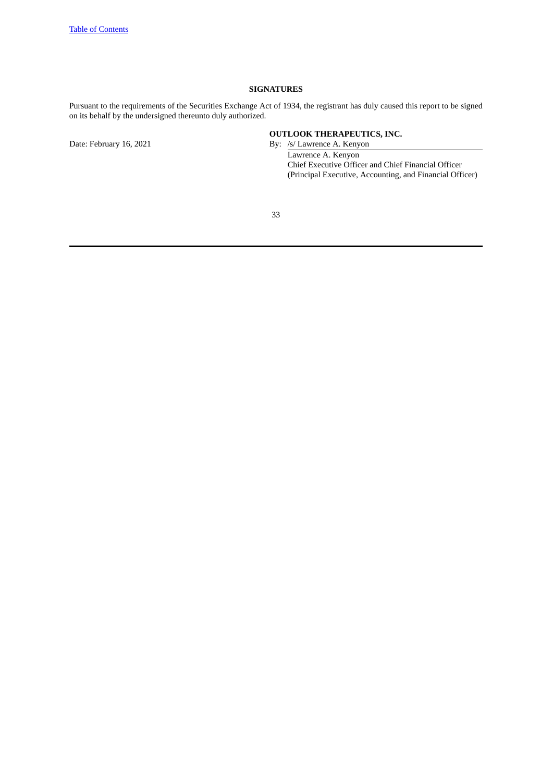# <span id="page-35-0"></span>**SIGNATURES**

Pursuant to the requirements of the Securities Exchange Act of 1934, the registrant has duly caused this report to be signed on its behalf by the undersigned thereunto duly authorized.

Date: February 16, 2021 By: /s/ Lawrence A. Kenyon

# **OUTLOOK THERAPEUTICS, INC.**

Lawrence A. Kenyon Chief Executive Officer and Chief Financial Officer (Principal Executive, Accounting, and Financial Officer)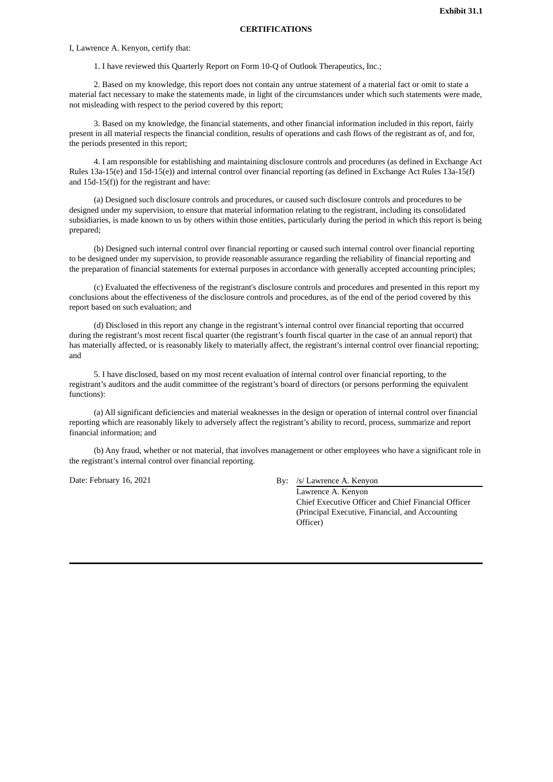### **CERTIFICATIONS**

### <span id="page-36-0"></span>I, Lawrence A. Kenyon, certify that:

1. I have reviewed this Quarterly Report on Form 10-Q of Outlook Therapeutics, Inc.;

2. Based on my knowledge, this report does not contain any untrue statement of a material fact or omit to state a material fact necessary to make the statements made, in light of the circumstances under which such statements were made, not misleading with respect to the period covered by this report;

3. Based on my knowledge, the financial statements, and other financial information included in this report, fairly present in all material respects the financial condition, results of operations and cash flows of the registrant as of, and for, the periods presented in this report;

4. I am responsible for establishing and maintaining disclosure controls and procedures (as defined in Exchange Act Rules 13a-15(e) and 15d-15(e)) and internal control over financial reporting (as defined in Exchange Act Rules 13a-15(f) and 15d-15(f)) for the registrant and have:

(a) Designed such disclosure controls and procedures, or caused such disclosure controls and procedures to be designed under my supervision, to ensure that material information relating to the registrant, including its consolidated subsidiaries, is made known to us by others within those entities, particularly during the period in which this report is being prepared;

(b) Designed such internal control over financial reporting or caused such internal control over financial reporting to be designed under my supervision, to provide reasonable assurance regarding the reliability of financial reporting and the preparation of financial statements for external purposes in accordance with generally accepted accounting principles;

(c) Evaluated the effectiveness of the registrant's disclosure controls and procedures and presented in this report my conclusions about the effectiveness of the disclosure controls and procedures, as of the end of the period covered by this report based on such evaluation; and

(d) Disclosed in this report any change in the registrant's internal control over financial reporting that occurred during the registrant's most recent fiscal quarter (the registrant's fourth fiscal quarter in the case of an annual report) that has materially affected, or is reasonably likely to materially affect, the registrant's internal control over financial reporting; and

5. I have disclosed, based on my most recent evaluation of internal control over financial reporting, to the registrant's auditors and the audit committee of the registrant's board of directors (or persons performing the equivalent functions):

(a) All significant deficiencies and material weaknesses in the design or operation of internal control over financial reporting which are reasonably likely to adversely affect the registrant's ability to record, process, summarize and report financial information; and

(b) Any fraud, whether or not material, that involves management or other employees who have a significant role in the registrant's internal control over financial reporting.

Date: February 16, 2021 By: /s/ Lawrence A. Kenyon

Lawrence A. Kenyon Chief Executive Officer and Chief Financial Officer (Principal Executive, Financial, and Accounting Officer)